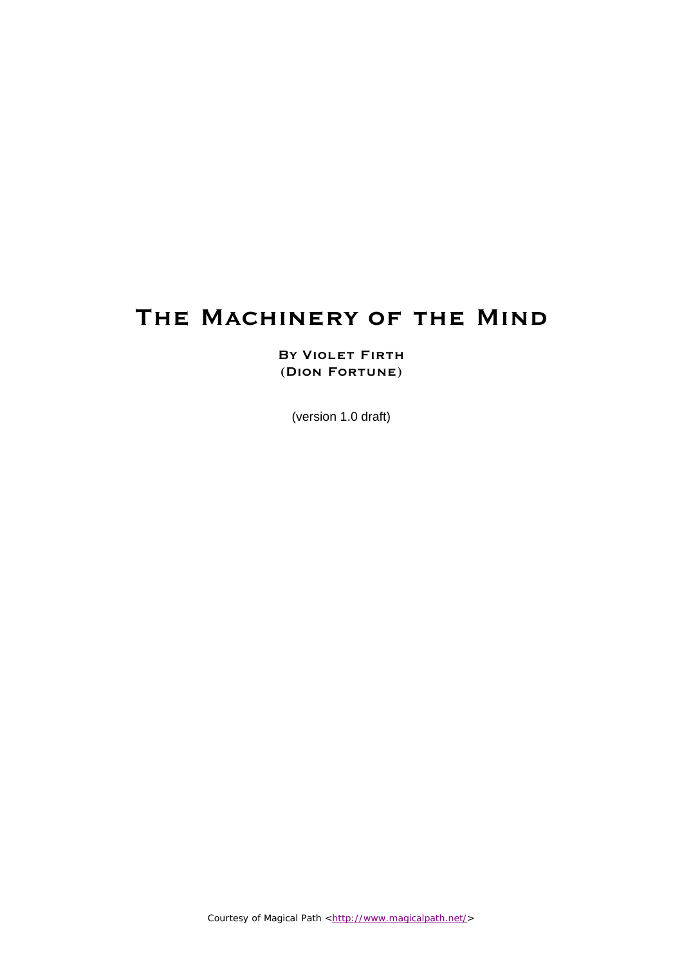## **The Machinery of the Mind**

**By Violet Firth (Dion Fortune)**

(version 1.0 draft)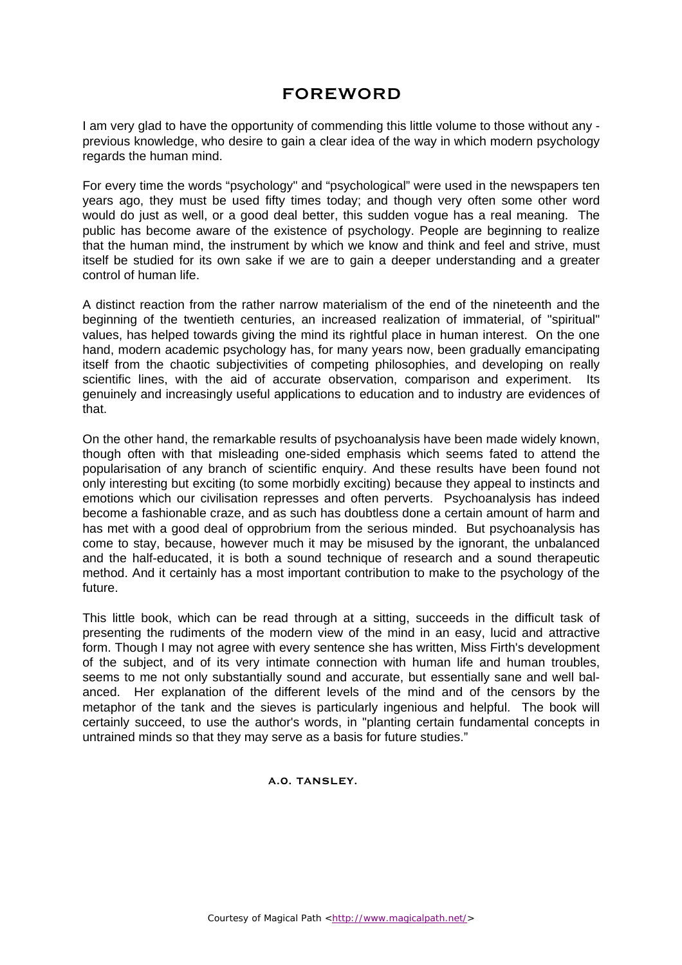### **FOREWORD**

I am very glad to have the opportunity of commending this little volume to those without any previous knowledge, who desire to gain a clear idea of the way in which modern psychology regards the human mind.

For every time the words "psychology" and "psychological" were used in the newspapers ten years ago, they must be used fifty times today; and though very often some other word would do just as well, or a good deal better, this sudden vogue has a real meaning. The public has become aware of the existence of psychology. People are beginning to realize that the human mind, the instrument by which we know and think and feel and strive, must itself be studied for its own sake if we are to gain a deeper understanding and a greater control of human life.

A distinct reaction from the rather narrow materialism of the end of the nineteenth and the beginning of the twentieth centuries, an increased realization of immaterial, of "spiritual" values, has helped towards giving the mind its rightful place in human interest. On the one hand, modern academic psychology has, for many years now, been gradually emancipating itself from the chaotic subjectivities of competing philosophies, and developing on really scientific lines, with the aid of accurate observation, comparison and experiment. Its genuinely and increasingly useful applications to education and to industry are evidences of that.

On the other hand, the remarkable results of psychoanalysis have been made widely known, though often with that misleading one-sided emphasis which seems fated to attend the popularisation of any branch of scientific enquiry. And these results have been found not only interesting but exciting (to some morbidly exciting) because they appeal to instincts and emotions which our civilisation represses and often perverts. Psychoanalysis has indeed become a fashionable craze, and as such has doubtless done a certain amount of harm and has met with a good deal of opprobrium from the serious minded. But psychoanalysis has come to stay, because, however much it may be misused by the ignorant, the unbalanced and the half-educated, it is both a sound technique of research and a sound therapeutic method. And it certainly has a most important contribution to make to the psychology of the future.

This little book, which can be read through at a sitting, succeeds in the difficult task of presenting the rudiments of the modern view of the mind in an easy, lucid and attractive form. Though I may not agree with every sentence she has written, Miss Firth's development of the subject, and of its very intimate connection with human life and human troubles, seems to me not only substantially sound and accurate, but essentially sane and well balanced. Her explanation of the different levels of the mind and of the censors by the metaphor of the tank and the sieves is particularly ingenious and helpful. The book will certainly succeed, to use the author's words, in "planting certain fundamental concepts in untrained minds so that they may serve as a basis for future studies."

#### **A.0. TANSLEY.**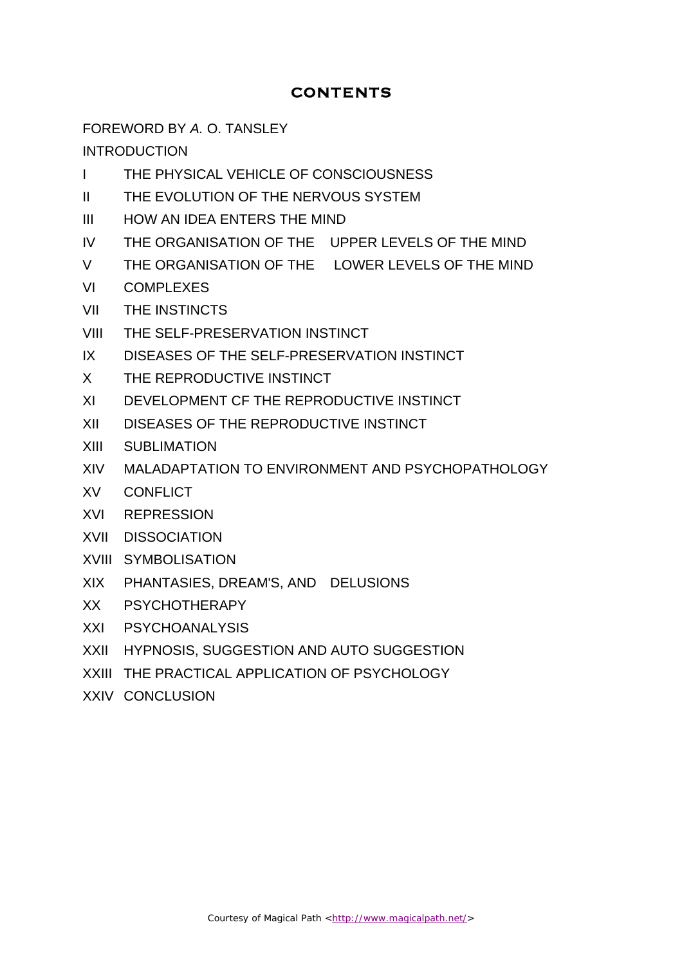#### **CONTENTS**

FOREWORD BY *A.* O. TANSLEY

INTRODUCTION

- I THE PHYSICAL VEHICLE OF CONSCIOUSNESS
- II THE EVOLUTION OF THE NERVOUS SYSTEM
- III HOW AN IDEA ENTERS THE MIND
- IV THE ORGANISATION OF THE UPPER LEVELS OF THE MIND
- V THE ORGANISATION OF THE LOWER LEVELS OF THE MIND
- VI COMPLEXES
- VII THE INSTINCTS
- VIII THE SELF-PRESERVATION INSTINCT
- IX DISEASES OF THE SELF-PRESERVATION INSTINCT
- X THE REPRODUCTIVE INSTINCT
- XI DEVELOPMENT CF THE REPRODUCTIVE INSTINCT
- XII DISEASES OF THE REPRODUCTIVE INSTINCT
- XIII SUBLIMATION
- XIV MALADAPTATION TO ENVIRONMENT AND PSYCHOPATHOLOGY
- XV CONFLICT
- XVI REPRESSION
- XVII DISSOCIATION
- XVIII SYMBOLISATION
- XIX PHANTASIES, DREAM'S, AND DELUSIONS
- XX PSYCHOTHERAPY
- XXI PSYCHOANALYSIS
- XXII HYPNOSIS, SUGGESTION AND AUTO SUGGESTION
- XXIII THE PRACTICAL APPLICATION OF PSYCHOLOGY
- XXIV CONCLUSION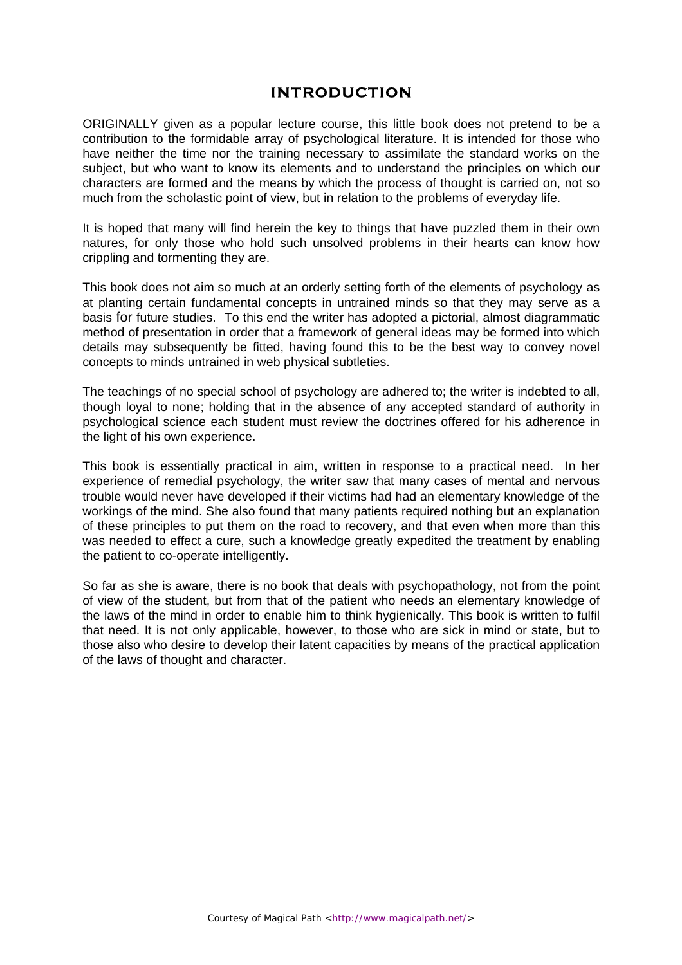#### **INTRODUCTION**

ORIGINALLY given as a popular lecture course, this little book does not pretend to be a contribution to the formidable array of psychological literature. It is intended for those who have neither the time nor the training necessary to assimilate the standard works on the subject, but who want to know its elements and to understand the principles on which our characters are formed and the means by which the process of thought is carried on, not so much from the scholastic point of view, but in relation to the problems of everyday life.

It is hoped that many will find herein the key to things that have puzzled them in their own natures, for only those who hold such unsolved problems in their hearts can know how crippling and tormenting they are.

This book does not aim so much at an orderly setting forth of the elements of psychology as at planting certain fundamental concepts in untrained minds so that they may serve as a basis for future studies. To this end the writer has adopted a pictorial, almost diagrammatic method of presentation in order that a framework of general ideas may be formed into which details may subsequently be fitted, having found this to be the best way to convey novel concepts to minds untrained in web physical subtleties.

The teachings of no special school of psychology are adhered to; the writer is indebted to all, though loyal to none; holding that in the absence of any accepted standard of authority in psychological science each student must review the doctrines offered for his adherence in the light of his own experience.

This book is essentially practical in aim, written in response to a practical need. In her experience of remedial psychology, the writer saw that many cases of mental and nervous trouble would never have developed if their victims had had an elementary knowledge of the workings of the mind. She also found that many patients required nothing but an explanation of these principles to put them on the road to recovery, and that even when more than this was needed to effect a cure, such a knowledge greatly expedited the treatment by enabling the patient to co-operate intelligently.

So far as she is aware, there is no book that deals with psychopathology, not from the point of view of the student, but from that of the patient who needs an elementary knowledge of the laws of the mind in order to enable him to think hygienically. This book is written to fulfil that need. It is not only applicable, however, to those who are sick in mind or state, but to those also who desire to develop their latent capacities by means of the practical application of the laws of thought and character.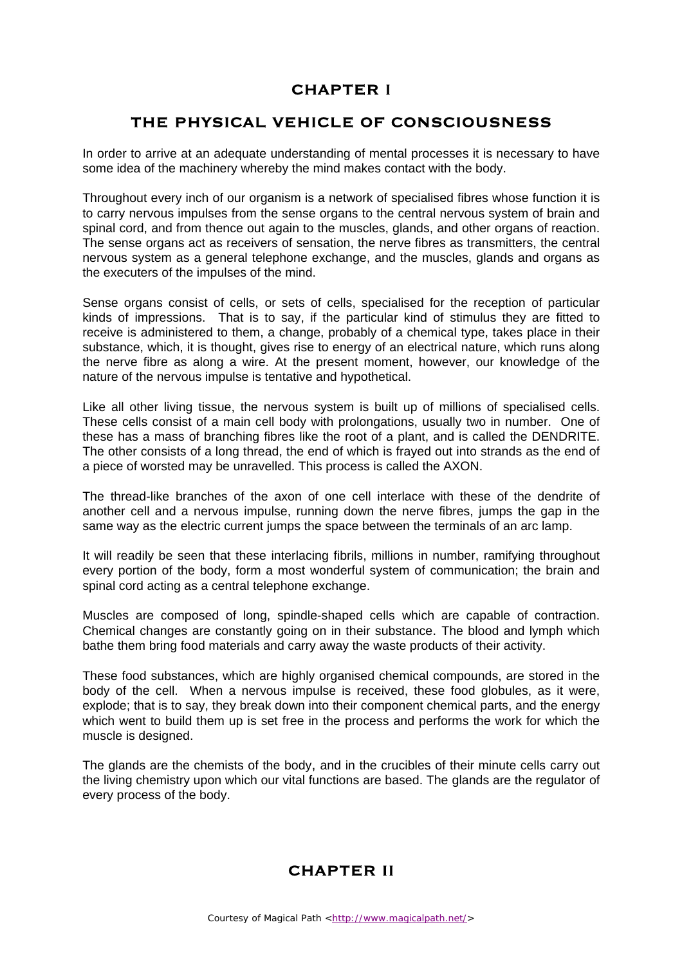# **CHAPTER I<br>THE PHYSICAL VEHICLE OF CONSCIOUSNESS**

In order to arrive at an adequate understanding of mental processes it is necessary to have some idea of the machinery whereby the mind makes contact with the body.

Throughout every inch of our organism is a network of specialised fibres whose function it is to carry nervous impulses from the sense organs to the central nervous system of brain and spinal cord, and from thence out again to the muscles, glands, and other organs of reaction. The sense organs act as receivers of sensation, the nerve fibres as transmitters, the central nervous system as a general telephone exchange, and the muscles, glands and organs as the executers of the impulses of the mind.

Sense organs consist of cells, or sets of cells, specialised for the reception of particular kinds of impressions. That is to say, if the particular kind of stimulus they are fitted to receive is administered to them, a change, probably of a chemical type, takes place in their substance, which, it is thought, gives rise to energy of an electrical nature, which runs along the nerve fibre as along a wire. At the present moment, however, our knowledge of the nature of the nervous impulse is tentative and hypothetical.

Like all other living tissue, the nervous system is built up of millions of specialised cells. These cells consist of a main cell body with prolongations, usually two in number. One of these has a mass of branching fibres like the root of a plant, and is called the DENDRITE. The other consists of a long thread, the end of which is frayed out into strands as the end of a piece of worsted may be unravelled. This process is called the AXON.

The thread-like branches of the axon of one cell interlace with these of the dendrite of another cell and a nervous impulse, running down the nerve fibres, jumps the gap in the same way as the electric current jumps the space between the terminals of an arc lamp.

It will readily be seen that these interlacing fibrils, millions in number, ramifying throughout every portion of the body, form a most wonderful system of communication; the brain and spinal cord acting as a central telephone exchange.

Muscles are composed of long, spindle-shaped cells which are capable of contraction. Chemical changes are constantly going on in their substance. The blood and lymph which bathe them bring food materials and carry away the waste products of their activity.

These food substances, which are highly organised chemical compounds, are stored in the body of the cell. When a nervous impulse is received, these food globules, as it were, explode; that is to say, they break down into their component chemical parts, and the energy which went to build them up is set free in the process and performs the work for which the muscle is designed.

The glands are the chemists of the body, and in the crucibles of their minute cells carry out the living chemistry upon which our vital functions are based. The glands are the regulator of every process of the body.

#### **CHAPTER II**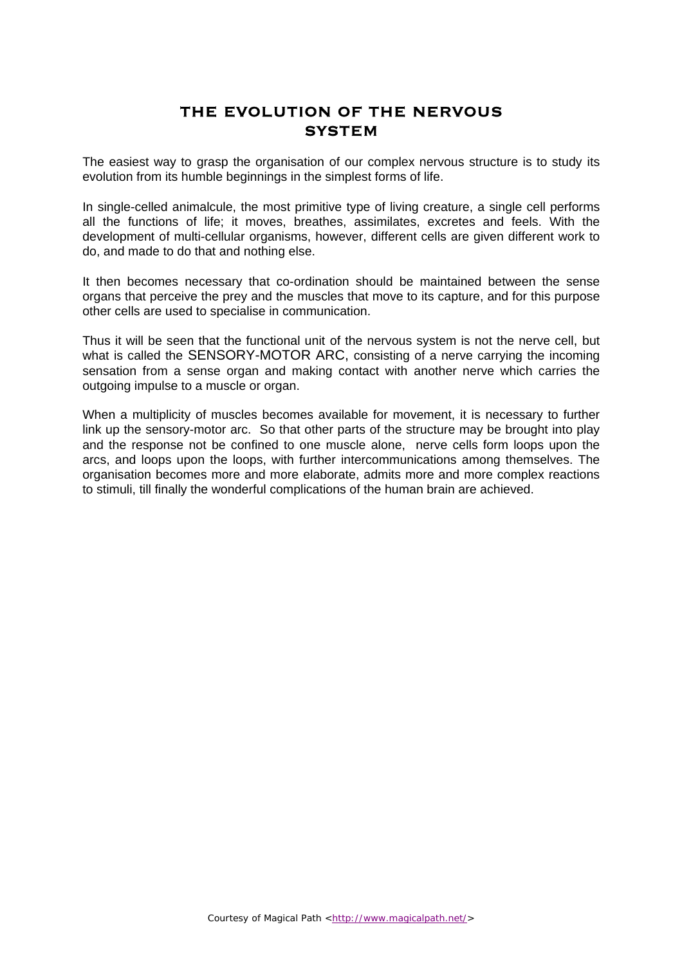### **THE EVOLUTION OF THE NERVOUS SYSTEM**

The easiest way to grasp the organisation of our complex nervous structure is to study its evolution from its humble beginnings in the simplest forms of life.

In single-celled animalcule, the most primitive type of living creature, a single cell performs all the functions of life; it moves, breathes, assimilates, excretes and feels. With the development of multi-cellular organisms, however, different cells are given different work to do, and made to do that and nothing else.

It then becomes necessary that co-ordination should be maintained between the sense organs that perceive the prey and the muscles that move to its capture, and for this purpose other cells are used to specialise in communication.

Thus it will be seen that the functional unit of the nervous system is not the nerve cell, but what is called the SENSORY-MOTOR ARC, consisting of a nerve carrying the incoming sensation from a sense organ and making contact with another nerve which carries the outgoing impulse to a muscle or organ.

When a multiplicity of muscles becomes available for movement, it is necessary to further link up the sensory-motor arc. So that other parts of the structure may be brought into play and the response not be confined to one muscle alone, nerve cells form loops upon the arcs, and loops upon the loops, with further intercommunications among themselves. The organisation becomes more and more elaborate, admits more and more complex reactions to stimuli, till finally the wonderful complications of the human brain are achieved.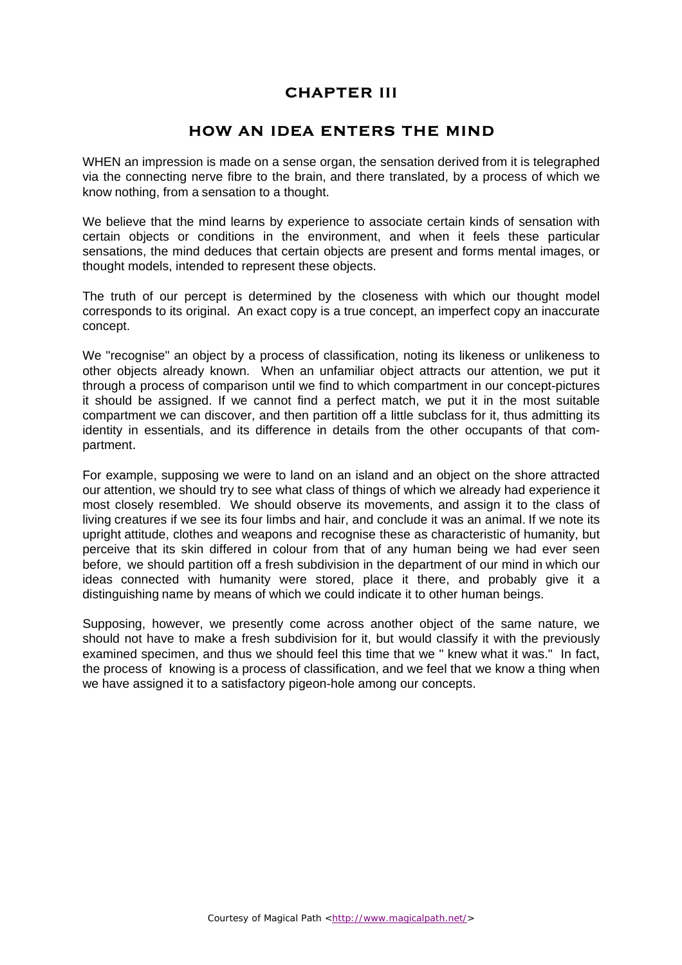#### **CHAPTER III**

#### **HOW AN IDEA ENTERS THE MIND**

WHEN an impression is made on a sense organ, the sensation derived from it is telegraphed via the connecting nerve fibre to the brain, and there translated, by a process of which we know nothing, from a sensation to a thought.

We believe that the mind learns by experience to associate certain kinds of sensation with certain objects or conditions in the environment, and when it feels these particular sensations, the mind deduces that certain objects are present and forms mental images, or thought models, intended to represent these objects.

The truth of our percept is determined by the closeness with which our thought model corresponds to its original. An exact copy is a true concept, an imperfect copy an inaccurate concept.

We "recognise" an object by a process of classification, noting its likeness or unlikeness to other objects already known. When an unfamiliar object attracts our attention, we put it through a process of comparison until we find to which compartment in our concept-pictures it should be assigned. If we cannot find a perfect match, we put it in the most suitable compartment we can discover, and then partition off a little subclass for it, thus admitting its identity in essentials, and its difference in details from the other occupants of that compartment.

For example, supposing we were to land on an island and an object on the shore attracted our attention, we should try to see what class of things of which we already had experience it most closely resembled. We should observe its movements, and assign it to the class of living creatures if we see its four limbs and hair, and conclude it was an animal. If we note its upright attitude, clothes and weapons and recognise these as characteristic of humanity, but perceive that its skin differed in colour from that of any human being we had ever seen before, we should partition off a fresh subdivision in the department of our mind in which our ideas connected with humanity were stored, place it there, and probably give it a distinguishing name by means of which we could indicate it to other human beings.

Supposing, however, we presently come across another object of the same nature, we should not have to make a fresh subdivision for it, but would classify it with the previously examined specimen, and thus we should feel this time that we " knew what it was." In fact, the process of knowing is a process of classification, and we feel that we know a thing when we have assigned it to a satisfactory pigeon-hole among our concepts.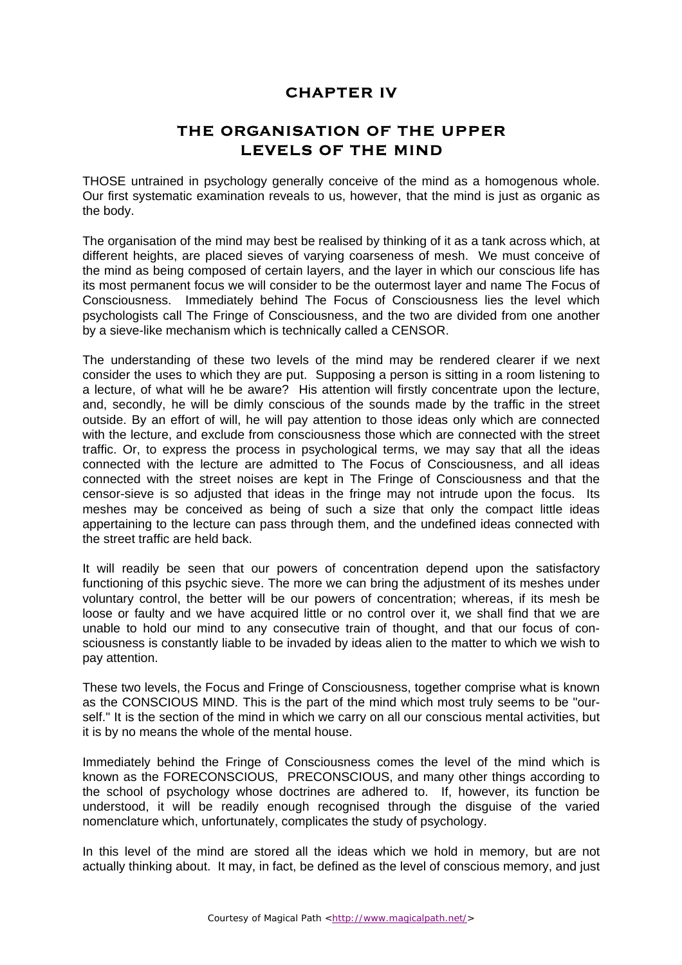#### **CHAPTER IV**

#### **THE ORGANISATION OF THE UPPER LEVELS OF THE MIND**

THOSE untrained in psychology generally conceive of the mind as a homogenous whole. Our first systematic examination reveals to us, however, that the mind is just as organic as the body.

The organisation of the mind may best be realised by thinking of it as a tank across which, at different heights, are placed sieves of varying coarseness of mesh. We must conceive of the mind as being composed of certain layers, and the layer in which our conscious life has its most permanent focus we will consider to be the outermost layer and name The Focus of Consciousness. Immediately behind The Focus of Consciousness lies the level which psychologists call The Fringe of Consciousness, and the two are divided from one another by a sieve-like mechanism which is technically called a CENSOR.

The understanding of these two levels of the mind may be rendered clearer if we next consider the uses to which they are put. Supposing a person is sitting in a room listening to a lecture, of what will he be aware? His attention will firstly concentrate upon the lecture, and, secondly, he will be dimly conscious of the sounds made by the traffic in the street outside. By an effort of will, he will pay attention to those ideas only which are connected with the lecture, and exclude from consciousness those which are connected with the street traffic. Or, to express the process in psychological terms, we may say that all the ideas connected with the lecture are admitted to The Focus of Consciousness, and all ideas connected with the street noises are kept in The Fringe of Consciousness and that the censor-sieve is so adjusted that ideas in the fringe may not intrude upon the focus. Its meshes may be conceived as being of such a size that only the compact little ideas appertaining to the lecture can pass through them, and the undefined ideas connected with the street traffic are held back.

It will readily be seen that our powers of concentration depend upon the satisfactory functioning of this psychic sieve. The more we can bring the adjustment of its meshes under voluntary control, the better will be our powers of concentration; whereas, if its mesh be loose or faulty and we have acquired little or no control over it, we shall find that we are unable to hold our mind to any consecutive train of thought, and that our focus of consciousness is constantly liable to be invaded by ideas alien to the matter to which we wish to pay attention.

These two levels, the Focus and Fringe of Consciousness, together comprise what is known as the CONSCIOUS MIND. This is the part of the mind which most truly seems to be "ourself." It is the section of the mind in which we carry on all our conscious mental activities, but it is by no means the whole of the mental house.

Immediately behind the Fringe of Consciousness comes the level of the mind which is known as the FORECONSCIOUS, PRECONSCIOUS, and many other things according to the school of psychology whose doctrines are adhered to. If, however, its function be understood, it will be readily enough recognised through the disguise of the varied nomenclature which, unfortunately, complicates the study of psychology.

In this level of the mind are stored all the ideas which we hold in memory, but are not actually thinking about. It may, in fact, be defined as the level of conscious memory, and just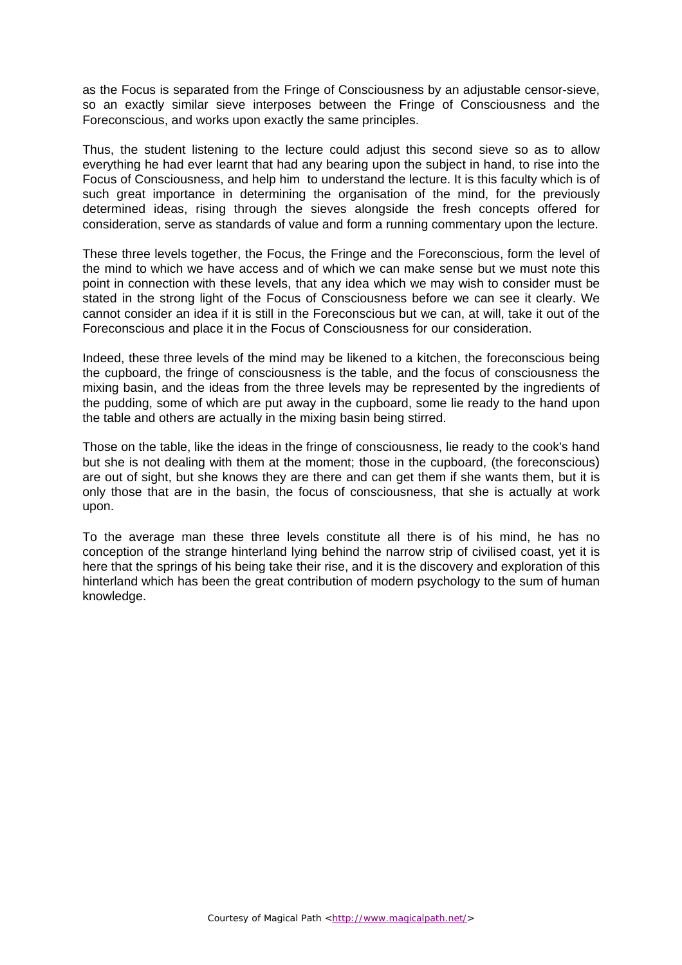as the Focus is separated from the Fringe of Consciousness by an adjustable censor-sieve, so an exactly similar sieve interposes between the Fringe of Consciousness and the Foreconscious, and works upon exactly the same principles.

Thus, the student listening to the lecture could adjust this second sieve so as to allow everything he had ever learnt that had any bearing upon the subject in hand, to rise into the Focus of Consciousness, and help him to understand the lecture. It is this faculty which is of such great importance in determining the organisation of the mind, for the previously determined ideas, rising through the sieves alongside the fresh concepts offered for consideration, serve as standards of value and form a running commentary upon the lecture.

These three levels together, the Focus, the Fringe and the Foreconscious, form the level of the mind to which we have access and of which we can make sense but we must note this point in connection with these levels, that any idea which we may wish to consider must be stated in the strong light of the Focus of Consciousness before we can see it clearly. We cannot consider an idea if it is still in the Foreconscious but we can, at will, take it out of the Foreconscious and place it in the Focus of Consciousness for our consideration.

Indeed, these three levels of the mind may be likened to a kitchen, the foreconscious being the cupboard, the fringe of consciousness is the table, and the focus of consciousness the mixing basin, and the ideas from the three levels may be represented by the ingredients of the pudding, some of which are put away in the cupboard, some lie ready to the hand upon the table and others are actually in the mixing basin being stirred.

Those on the table, like the ideas in the fringe of consciousness, lie ready to the cook's hand but she is not dealing with them at the moment; those in the cupboard, (the foreconscious) are out of sight, but she knows they are there and can get them if she wants them, but it is only those that are in the basin, the focus of consciousness, that she is actually at work upon.

To the average man these three levels constitute all there is of his mind, he has no conception of the strange hinterland lying behind the narrow strip of civilised coast, yet it is here that the springs of his being take their rise, and it is the discovery and exploration of this hinterland which has been the great contribution of modern psychology to the sum of human knowledge.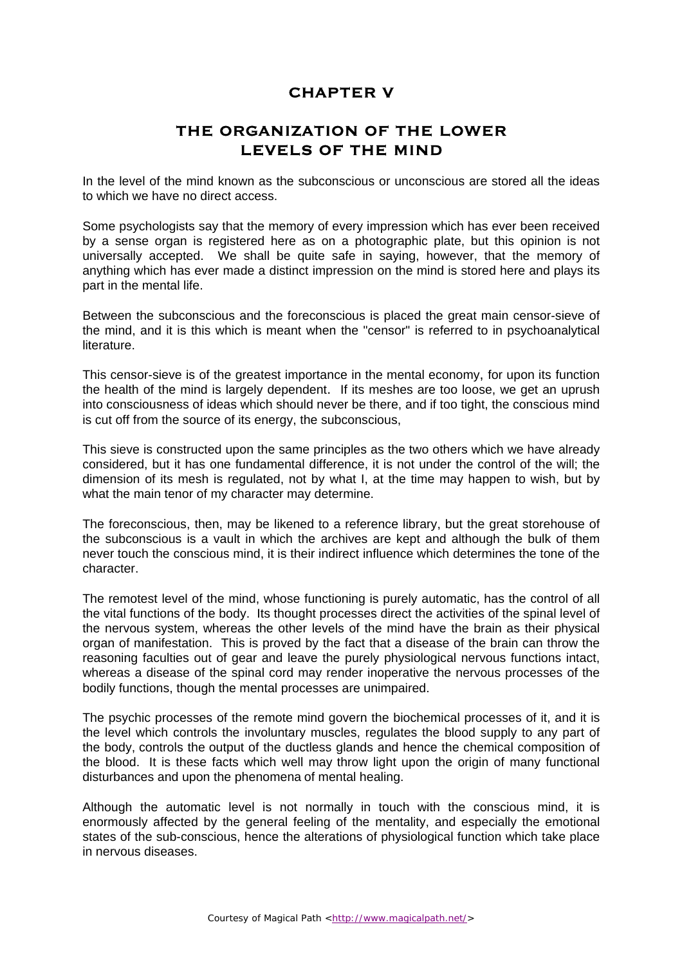#### **CHAPTER V**

#### **THE ORGANIZATION OF THE LOWER LEVELS OF THE MIND**

In the level of the mind known as the subconscious or unconscious are stored all the ideas to which we have no direct access.

Some psychologists say that the memory of every impression which has ever been received by a sense organ is registered here as on a photographic plate, but this opinion is not universally accepted. We shall be quite safe in saying, however, that the memory of anything which has ever made a distinct impression on the mind is stored here and plays its part in the mental life.

Between the subconscious and the foreconscious is placed the great main censor-sieve of the mind, and it is this which is meant when the "censor" is referred to in psychoanalytical **literature** 

This censor-sieve is of the greatest importance in the mental economy, for upon its function the health of the mind is largely dependent. If its meshes are too loose, we get an uprush into consciousness of ideas which should never be there, and if too tight, the conscious mind is cut off from the source of its energy, the subconscious,

This sieve is constructed upon the same principles as the two others which we have already considered, but it has one fundamental difference, it is not under the control of the will; the dimension of its mesh is regulated, not by what I, at the time may happen to wish, but by what the main tenor of my character may determine.

The foreconscious, then, may be likened to a reference library, but the great storehouse of the subconscious is a vault in which the archives are kept and although the bulk of them never touch the conscious mind, it is their indirect influence which determines the tone of the character.

The remotest level of the mind, whose functioning is purely automatic, has the control of all the vital functions of the body. Its thought processes direct the activities of the spinal level of the nervous system, whereas the other levels of the mind have the brain as their physical organ of manifestation. This is proved by the fact that a disease of the brain can throw the reasoning faculties out of gear and leave the purely physiological nervous functions intact, whereas a disease of the spinal cord may render inoperative the nervous processes of the bodily functions, though the mental processes are unimpaired.

The psychic processes of the remote mind govern the biochemical processes of it, and it is the level which controls the involuntary muscles, regulates the blood supply to any part of the body, controls the output of the ductless glands and hence the chemical composition of the blood. It is these facts which well may throw light upon the origin of many functional disturbances and upon the phenomena of mental healing.

Although the automatic level is not normally in touch with the conscious mind, it is enormously affected by the general feeling of the mentality, and especially the emotional states of the sub-conscious, hence the alterations of physiological function which take place in nervous diseases.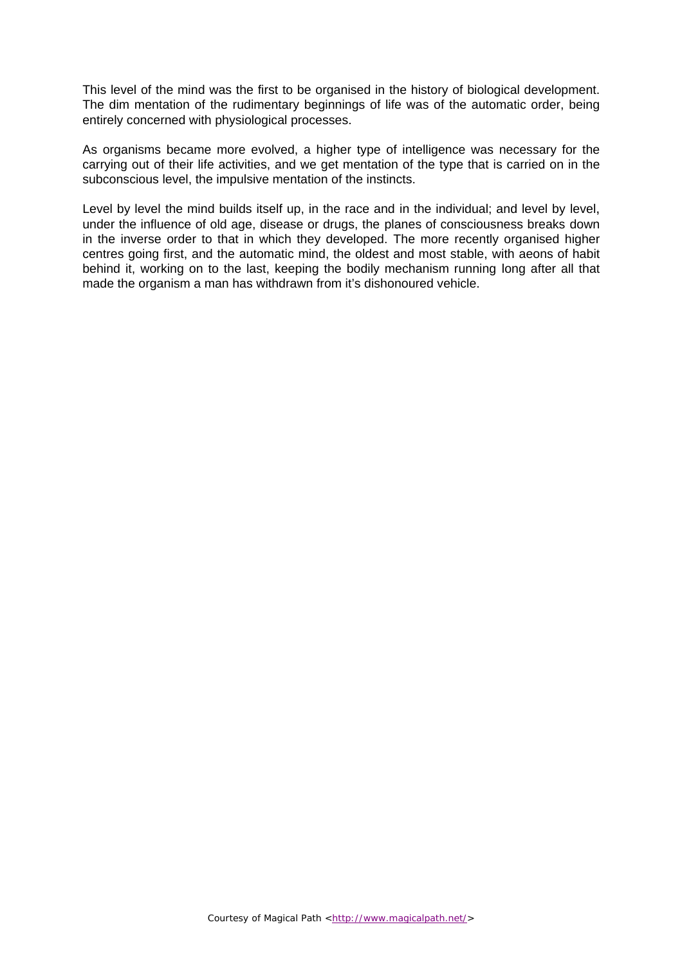This level of the mind was the first to be organised in the history of biological development. The dim mentation of the rudimentary beginnings of life was of the automatic order, being entirely concerned with physiological processes.

As organisms became more evolved, a higher type of intelligence was necessary for the carrying out of their life activities, and we get mentation of the type that is carried on in the subconscious level, the impulsive mentation of the instincts.

Level by level the mind builds itself up, in the race and in the individual; and level by level, under the influence of old age, disease or drugs, the planes of consciousness breaks down in the inverse order to that in which they developed. The more recently organised higher centres going first, and the automatic mind, the oldest and most stable, with aeons of habit behind it, working on to the last, keeping the bodily mechanism running long after all that made the organism a man has withdrawn from it's dishonoured vehicle.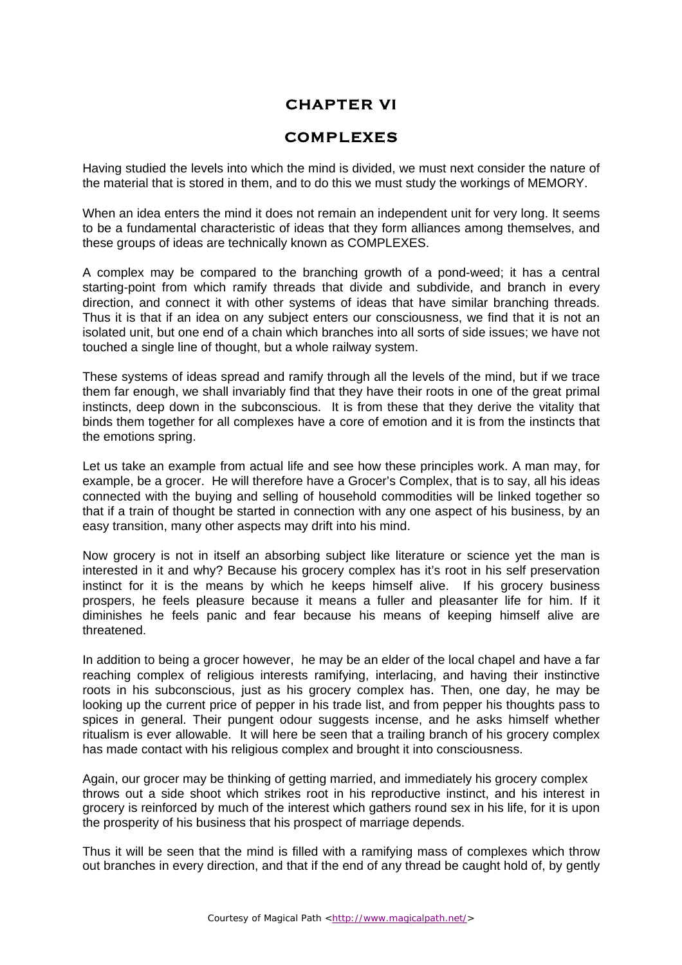## **CHAPTER VI COMPLEXES**

Having studied the levels into which the mind is divided, we must next consider the nature of the material that is stored in them, and to do this we must study the workings of MEMORY.

When an idea enters the mind it does not remain an independent unit for very long. It seems to be a fundamental characteristic of ideas that they form alliances among themselves, and these groups of ideas are technically known as COMPLEXES.

A complex may be compared to the branching growth of a pond-weed; it has a central starting-point from which ramify threads that divide and subdivide, and branch in every direction, and connect it with other systems of ideas that have similar branching threads. Thus it is that if an idea on any subject enters our consciousness, we find that it is not an isolated unit, but one end of a chain which branches into all sorts of side issues; we have not touched a single line of thought, but a whole railway system.

These systems of ideas spread and ramify through all the levels of the mind, but if we trace them far enough, we shall invariably find that they have their roots in one of the great primal instincts, deep down in the subconscious. It is from these that they derive the vitality that binds them together for all complexes have a core of emotion and it is from the instincts that the emotions spring.

Let us take an example from actual life and see how these principles work. A man may, for example, be a grocer. He will therefore have a Grocer's Complex, that is to say, all his ideas connected with the buying and selling of household commodities will be linked together so that if a train of thought be started in connection with any one aspect of his business, by an easy transition, many other aspects may drift into his mind.

Now grocery is not in itself an absorbing subject like literature or science yet the man is interested in it and why? Because his grocery complex has it's root in his self preservation instinct for it is the means by which he keeps himself alive. If his grocery business prospers, he feels pleasure because it means a fuller and pleasanter life for him. If it diminishes he feels panic and fear because his means of keeping himself alive are threatened.

In addition to being a grocer however, he may be an elder of the local chapel and have a far reaching complex of religious interests ramifying, interlacing, and having their instinctive roots in his subconscious, just as his grocery complex has. Then, one day, he may be looking up the current price of pepper in his trade list, and from pepper his thoughts pass to spices in general. Their pungent odour suggests incense, and he asks himself whether ritualism is ever allowable. It will here be seen that a trailing branch of his grocery complex has made contact with his religious complex and brought it into consciousness.

Again, our grocer may be thinking of getting married, and immediately his grocery complex throws out a side shoot which strikes root in his reproductive instinct, and his interest in grocery is reinforced by much of the interest which gathers round sex in his life, for it is upon the prosperity of his business that his prospect of marriage depends.

Thus it will be seen that the mind is filled with a ramifying mass of complexes which throw out branches in every direction, and that if the end of any thread be caught hold of, by gently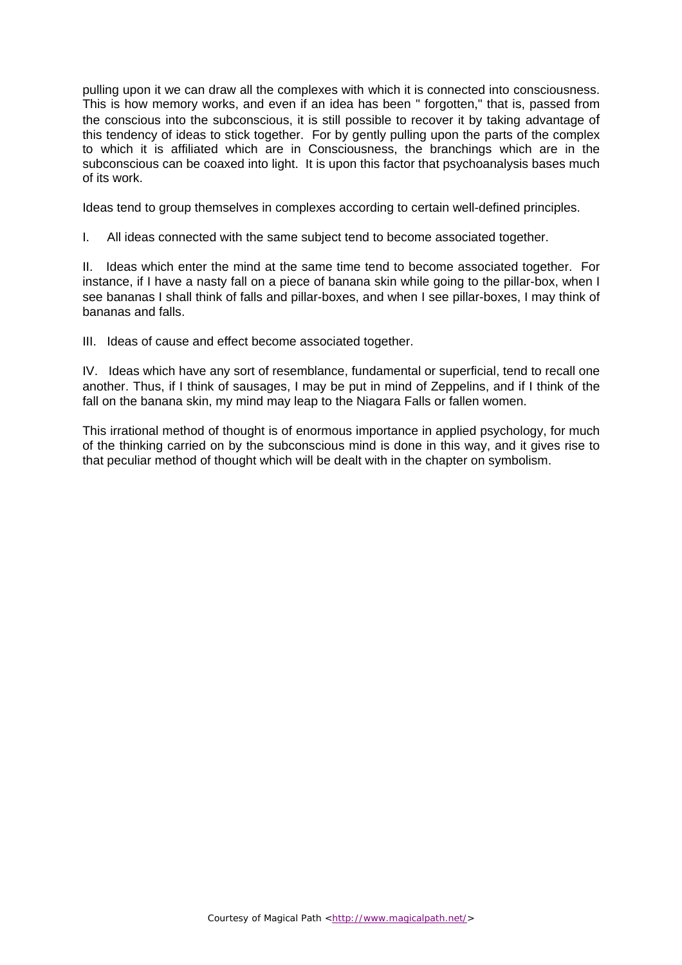pulling upon it we can draw all the complexes with which it is connected into consciousness. This is how memory works, and even if an idea has been " forgotten," that is, passed from the conscious into the subconscious, it is still possible to recover it by taking advantage of this tendency of ideas to stick together. For by gently pulling upon the parts of the complex to which it is affiliated which are in Consciousness, the branchings which are in the subconscious can be coaxed into light. It is upon this factor that psychoanalysis bases much of its work.

Ideas tend to group themselves in complexes according to certain well-defined principles.

I. All ideas connected with the same subject tend to become associated together.

II. Ideas which enter the mind at the same time tend to become associated together. For instance, if I have a nasty fall on a piece of banana skin while going to the pillar-box, when I see bananas I shall think of falls and pillar-boxes, and when I see pillar-boxes, I may think of bananas and falls.

III. Ideas of cause and effect become associated together.

IV. Ideas which have any sort of resemblance, fundamental or superficial, tend to recall one another. Thus, if I think of sausages, I may be put in mind of Zeppelins, and if I think of the fall on the banana skin, my mind may leap to the Niagara Falls or fallen women.

This irrational method of thought is of enormous importance in applied psychology, for much of the thinking carried on by the subconscious mind is done in this way, and it gives rise to that peculiar method of thought which will be dealt with in the chapter on symbolism.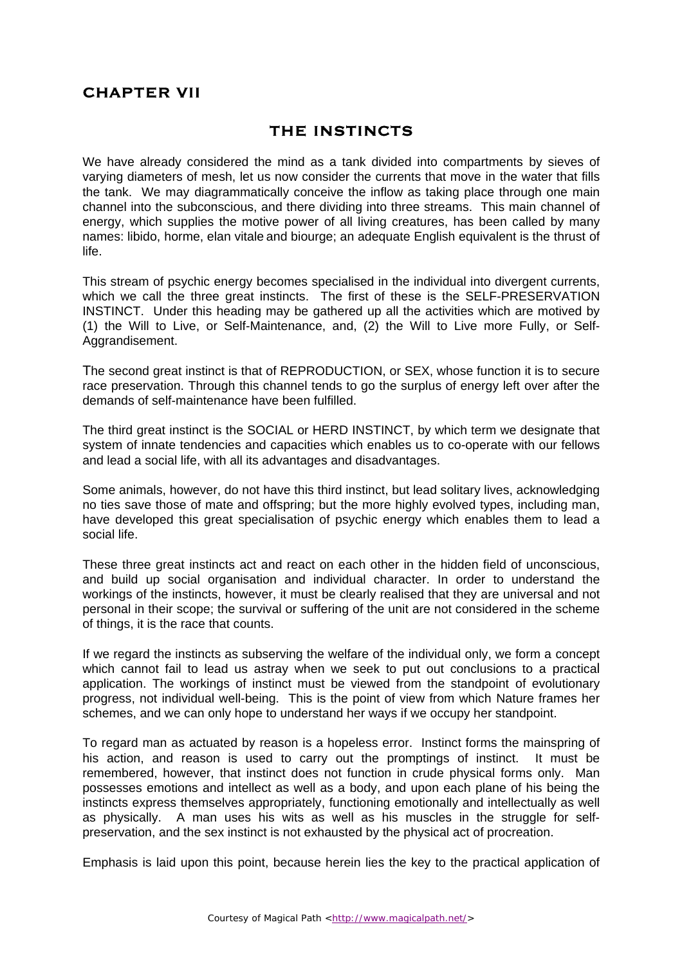#### **CHAPTER VII**

#### **THE INSTINCTS**

We have already considered the mind as a tank divided into compartments by sieves of varying diameters of mesh, let us now consider the currents that move in the water that fills the tank. We may diagrammatically conceive the inflow as taking place through one main channel into the subconscious, and there dividing into three streams. This main channel of energy, which supplies the motive power of all living creatures, has been called by many names: libido, horme, elan vitale and biourge; an adequate English equivalent is the thrust of life.

This stream of psychic energy becomes specialised in the individual into divergent currents, which we call the three great instincts. The first of these is the SELF-PRESERVATION INSTINCT. Under this heading may be gathered up all the activities which are motived by (1) the Will to Live, or Self-Maintenance, and, (2) the Will to Live more Fully, or Self-Aggrandisement.

The second great instinct is that of REPRODUCTION, or SEX, whose function it is to secure race preservation. Through this channel tends to go the surplus of energy left over after the demands of self-maintenance have been fulfilled.

The third great instinct is the SOCIAL or HERD INSTINCT, by which term we designate that system of innate tendencies and capacities which enables us to co-operate with our fellows and lead a social life, with all its advantages and disadvantages.

Some animals, however, do not have this third instinct, but lead solitary lives, acknowledging no ties save those of mate and offspring; but the more highly evolved types, including man, have developed this great specialisation of psychic energy which enables them to lead a social life.

These three great instincts act and react on each other in the hidden field of unconscious, and build up social organisation and individual character. In order to understand the workings of the instincts, however, it must be clearly realised that they are universal and not personal in their scope; the survival or suffering of the unit are not considered in the scheme of things, it is the race that counts.

If we regard the instincts as subserving the welfare of the individual only, we form a concept which cannot fail to lead us astray when we seek to put out conclusions to a practical application. The workings of instinct must be viewed from the standpoint of evolutionary progress, not individual well-being. This is the point of view from which Nature frames her schemes, and we can only hope to understand her ways if we occupy her standpoint.

To regard man as actuated by reason is a hopeless error. Instinct forms the mainspring of his action, and reason is used to carry out the promptings of instinct. It must be remembered, however, that instinct does not function in crude physical forms only. Man possesses emotions and intellect as well as a body, and upon each plane of his being the instincts express themselves appropriately, functioning emotionally and intellectually as well as physically. A man uses his wits as well as his muscles in the struggle for selfpreservation, and the sex instinct is not exhausted by the physical act of procreation.

Emphasis is laid upon this point, because herein lies the key to the practical application of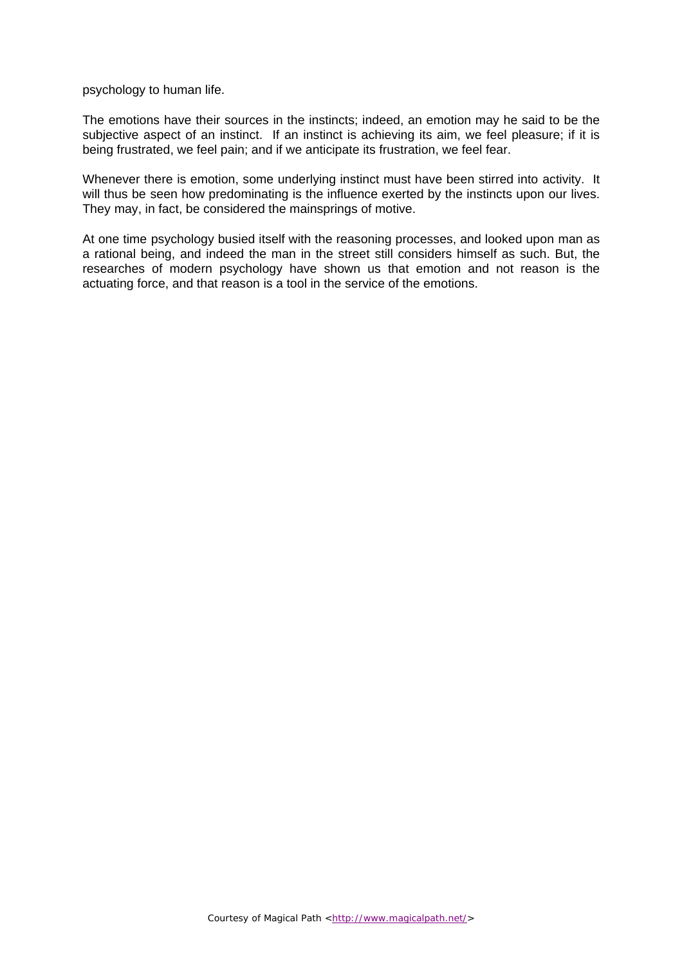psychology to human life.

The emotions have their sources in the instincts; indeed, an emotion may he said to be the subjective aspect of an instinct. If an instinct is achieving its aim, we feel pleasure; if it is being frustrated, we feel pain; and if we anticipate its frustration, we feel fear.

Whenever there is emotion, some underlying instinct must have been stirred into activity. It will thus be seen how predominating is the influence exerted by the instincts upon our lives. They may, in fact, be considered the mainsprings of motive.

At one time psychology busied itself with the reasoning processes, and looked upon man as a rational being, and indeed the man in the street still considers himself as such. But, the researches of modern psychology have shown us that emotion and not reason is the actuating force, and that reason is a tool in the service of the emotions.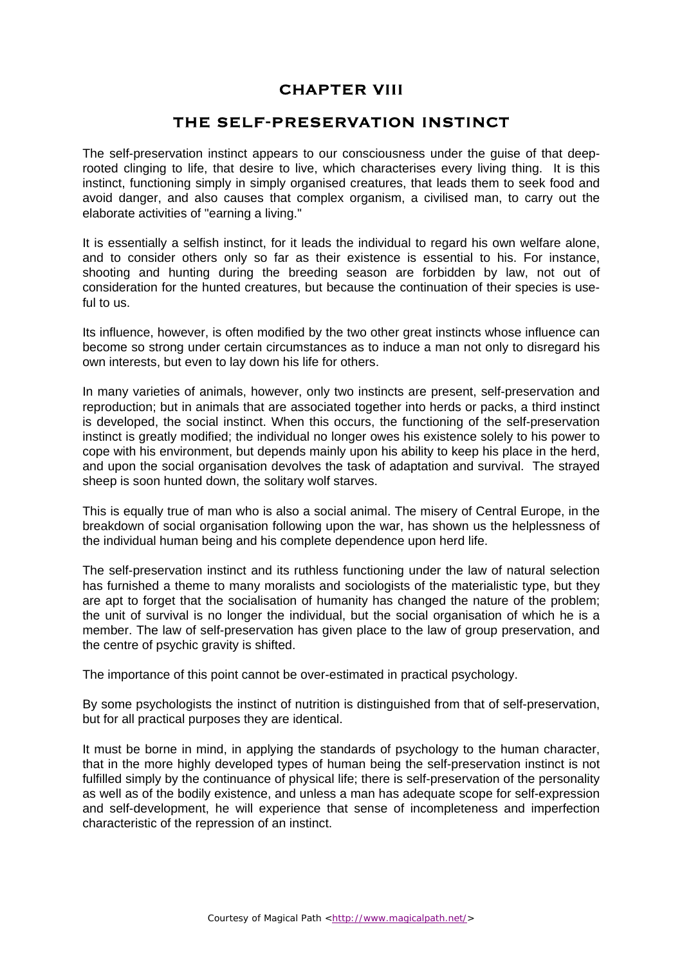## **CHAPTER VIII THE SELF-PRESERVATION INSTINCT**

The self-preservation instinct appears to our consciousness under the guise of that deeprooted clinging to life, that desire to live, which characterises every living thing. It is this instinct, functioning simply in simply organised creatures, that leads them to seek food and avoid danger, and also causes that complex organism, a civilised man, to carry out the elaborate activities of "earning a living."

It is essentially a selfish instinct, for it leads the individual to regard his own welfare alone, and to consider others only so far as their existence is essential to his. For instance, shooting and hunting during the breeding season are forbidden by law, not out of consideration for the hunted creatures, but because the continuation of their species is useful to us.

Its influence, however, is often modified by the two other great instincts whose influence can become so strong under certain circumstances as to induce a man not only to disregard his own interests, but even to lay down his life for others.

In many varieties of animals, however, only two instincts are present, self-preservation and reproduction; but in animals that are associated together into herds or packs, a third instinct is developed, the social instinct. When this occurs, the functioning of the self-preservation instinct is greatly modified; the individual no longer owes his existence solely to his power to cope with his environment, but depends mainly upon his ability to keep his place in the herd, and upon the social organisation devolves the task of adaptation and survival. The strayed sheep is soon hunted down, the solitary wolf starves.

This is equally true of man who is also a social animal. The misery of Central Europe, in the breakdown of social organisation following upon the war, has shown us the helplessness of the individual human being and his complete dependence upon herd life.

The self-preservation instinct and its ruthless functioning under the law of natural selection has furnished a theme to many moralists and sociologists of the materialistic type, but they are apt to forget that the socialisation of humanity has changed the nature of the problem; the unit of survival is no longer the individual, but the social organisation of which he is a member. The law of self-preservation has given place to the law of group preservation, and the centre of psychic gravity is shifted.

The importance of this point cannot be over-estimated in practical psychology.

By some psychologists the instinct of nutrition is distinguished from that of self-preservation, but for all practical purposes they are identical.

It must be borne in mind, in applying the standards of psychology to the human character, that in the more highly developed types of human being the self-preservation instinct is not fulfilled simply by the continuance of physical life; there is self-preservation of the personality as well as of the bodily existence, and unless a man has adequate scope for self-expression and self-development, he will experience that sense of incompleteness and imperfection characteristic of the repression of an instinct.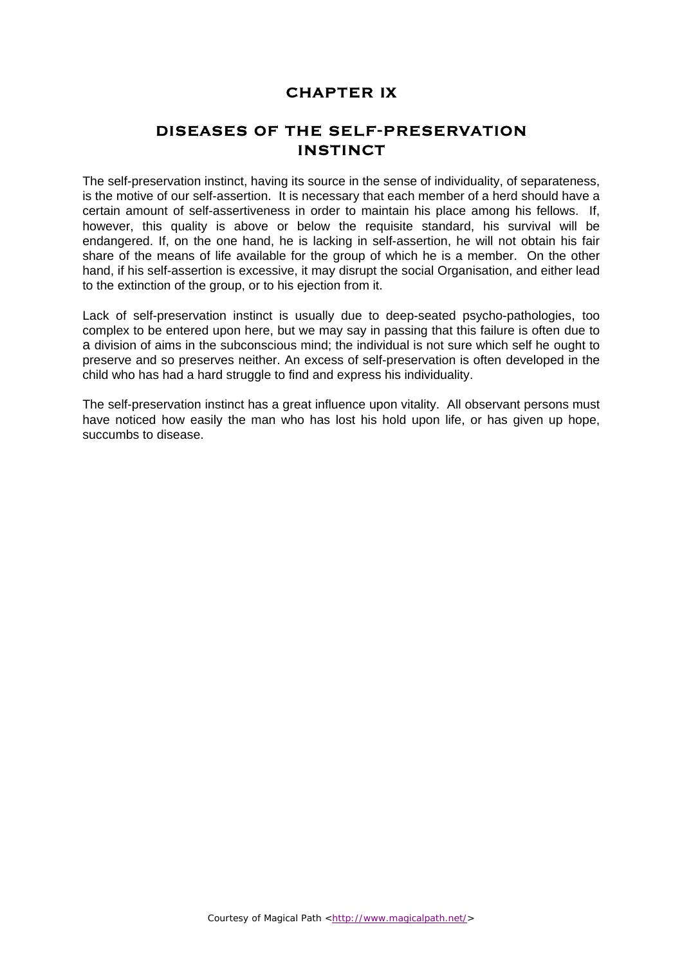#### **CHAPTER IX**

#### **DISEASES OF THE SELF-PRESERVATION INSTINCT**

The self-preservation instinct, having its source in the sense of individuality, of separateness, is the motive of our self-assertion. It is necessary that each member of a herd should have a certain amount of self-assertiveness in order to maintain his place among his fellows. If, however, this quality is above or below the requisite standard, his survival will be endangered. If, on the one hand, he is lacking in self-assertion, he will not obtain his fair share of the means of life available for the group of which he is a member. On the other hand, if his self-assertion is excessive, it may disrupt the social Organisation, and either lead to the extinction of the group, or to his ejection from it.

Lack of self-preservation instinct is usually due to deep-seated psycho-pathologies, too complex to be entered upon here, but we may say in passing that this failure is often due to a division of aims in the subconscious mind; the individual is not sure which self he ought to preserve and so preserves neither. An excess of self-preservation is often developed in the child who has had a hard struggle to find and express his individuality.

The self-preservation instinct has a great influence upon vitality. All observant persons must have noticed how easily the man who has lost his hold upon life, or has given up hope, succumbs to disease.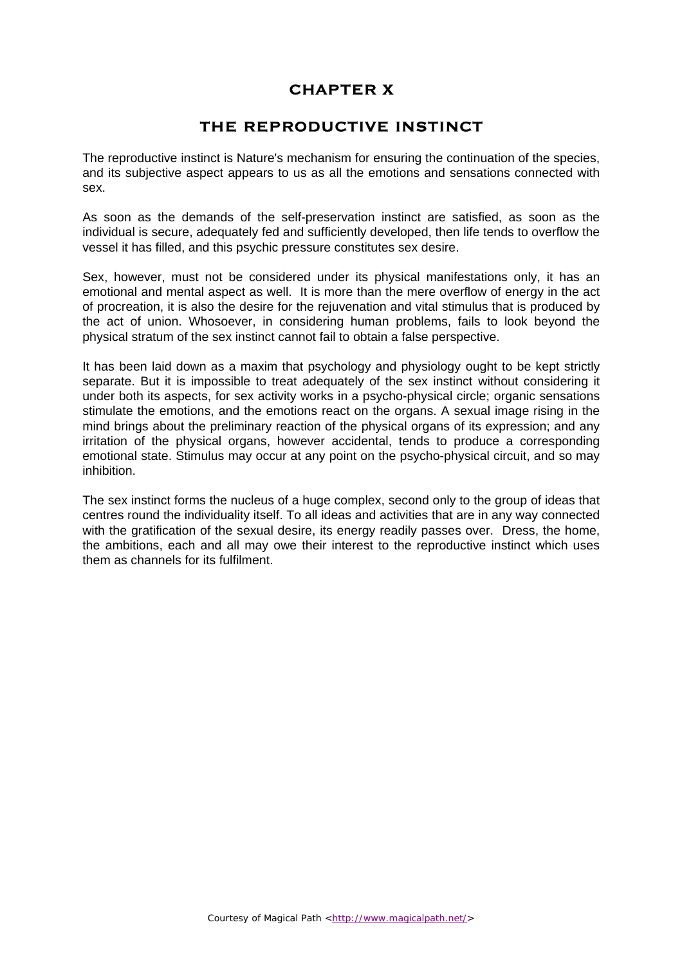#### **CHAPTER X**

#### **THE REPRODUCTIVE INSTINCT**

The reproductive instinct is Nature's mechanism for ensuring the continuation of the species, and its subjective aspect appears to us as all the emotions and sensations connected with sex.

As soon as the demands of the self-preservation instinct are satisfied, as soon as the individual is secure, adequately fed and sufficiently developed, then life tends to overflow the vessel it has filled, and this psychic pressure constitutes sex desire.

Sex, however, must not be considered under its physical manifestations only, it has an emotional and mental aspect as well. It is more than the mere overflow of energy in the act of procreation, it is also the desire for the rejuvenation and vital stimulus that is produced by the act of union. Whosoever, in considering human problems, fails to look beyond the physical stratum of the sex instinct cannot fail to obtain a false perspective.

It has been laid down as a maxim that psychology and physiology ought to be kept strictly separate. But it is impossible to treat adequately of the sex instinct without considering it under both its aspects, for sex activity works in a psycho-physical circle; organic sensations stimulate the emotions, and the emotions react on the organs. A sexual image rising in the mind brings about the preliminary reaction of the physical organs of its expression; and any irritation of the physical organs, however accidental, tends to produce a corresponding emotional state. Stimulus may occur at any point on the psycho-physical circuit, and so may inhibition.

The sex instinct forms the nucleus of a huge complex, second only to the group of ideas that centres round the individuality itself. To all ideas and activities that are in any way connected with the gratification of the sexual desire, its energy readily passes over. Dress, the home, the ambitions, each and all may owe their interest to the reproductive instinct which uses them as channels for its fulfilment.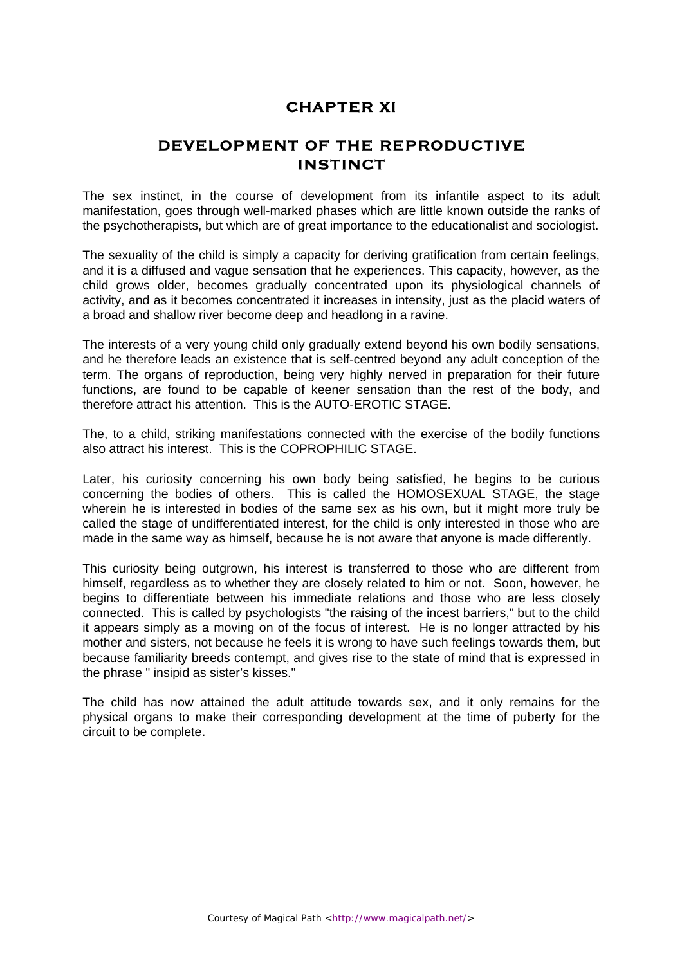### **CHAPTER XI**

### **DEVELOPMENT OF THE REPRODUCTIVE INSTINCT**

The sex instinct, in the course of development from its infantile aspect to its adult manifestation, goes through well-marked phases which are little known outside the ranks of the psychotherapists, but which are of great importance to the educationalist and sociologist.

The sexuality of the child is simply a capacity for deriving gratification from certain feelings, and it is a diffused and vague sensation that he experiences. This capacity, however, as the child grows older, becomes gradually concentrated upon its physiological channels of activity, and as it becomes concentrated it increases in intensity, just as the placid waters of a broad and shallow river become deep and headlong in a ravine.

The interests of a very young child only gradually extend beyond his own bodily sensations, and he therefore leads an existence that is self-centred beyond any adult conception of the term. The organs of reproduction, being very highly nerved in preparation for their future functions, are found to be capable of keener sensation than the rest of the body, and therefore attract his attention. This is the AUTO-EROTIC STAGE.

The, to a child, striking manifestations connected with the exercise of the bodily functions also attract his interest. This is the COPROPHILIC STAGE.

Later, his curiosity concerning his own body being satisfied, he begins to be curious concerning the bodies of others. This is called the HOMOSEXUAL STAGE, the stage wherein he is interested in bodies of the same sex as his own, but it might more truly be called the stage of undifferentiated interest, for the child is only interested in those who are made in the same way as himself, because he is not aware that anyone is made differently.

This curiosity being outgrown, his interest is transferred to those who are different from himself, regardless as to whether they are closely related to him or not. Soon, however, he begins to differentiate between his immediate relations and those who are less closely connected. This is called by psychologists "the raising of the incest barriers," but to the child it appears simply as a moving on of the focus of interest. He is no longer attracted by his mother and sisters, not because he feels it is wrong to have such feelings towards them, but because familiarity breeds contempt, and gives rise to the state of mind that is expressed in the phrase " insipid as sister's kisses."

The child has now attained the adult attitude towards sex, and it only remains for the physical organs to make their corresponding development at the time of puberty for the circuit to be complete.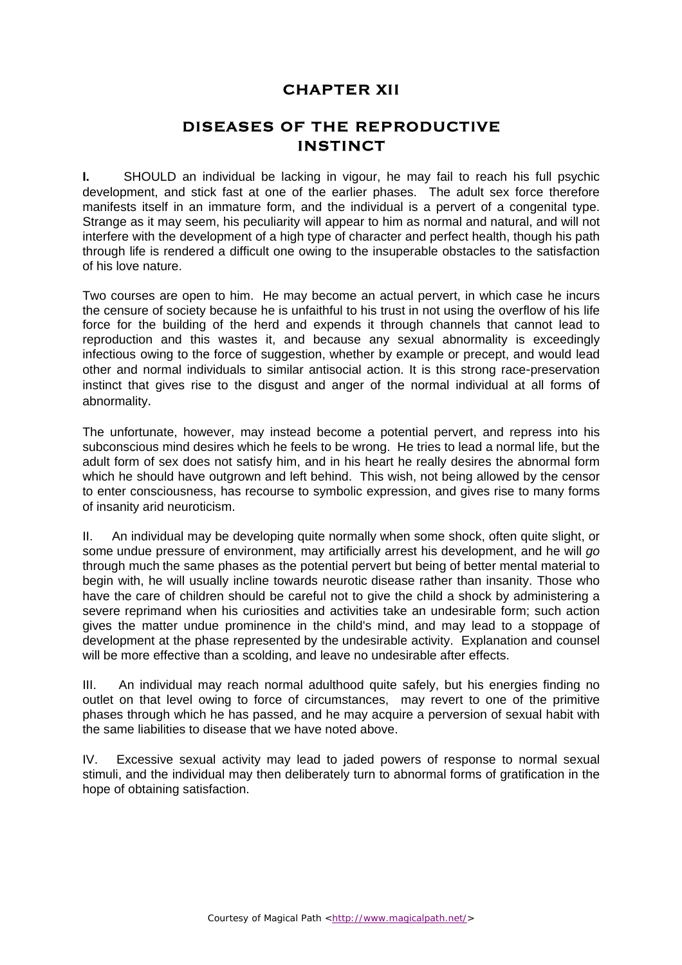#### **CHAPTER XII**

#### **DISEASES OF THE REPRODUCTIVE INSTINCT**

**I.** SHOULD an individual be lacking in vigour, he may fail to reach his full psychic development, and stick fast at one of the earlier phases. The adult sex force therefore manifests itself in an immature form, and the individual is a pervert of a congenital type. Strange as it may seem, his peculiarity will appear to him as normal and natural, and will not interfere with the development of a high type of character and perfect health, though his path through life is rendered a difficult one owing to the insuperable obstacles to the satisfaction of his love nature.

Two courses are open to him. He may become an actual pervert, in which case he incurs the censure of society because he is unfaithful to his trust in not using the overflow of his life force for the building of the herd and expends it through channels that cannot lead to reproduction and this wastes it, and because any sexual abnormality is exceedingly infectious owing to the force of suggestion, whether by example or precept, and would lead other and normal individuals to similar antisocial action. It is this strong race-preservation instinct that gives rise to the disgust and anger of the normal individual at all forms of abnormality.

The unfortunate, however, may instead become a potential pervert, and repress into his subconscious mind desires which he feels to be wrong. He tries to lead a normal life, but the adult form of sex does not satisfy him, and in his heart he really desires the abnormal form which he should have outgrown and left behind. This wish, not being allowed by the censor to enter consciousness, has recourse to symbolic expression, and gives rise to many forms of insanity arid neuroticism.

II. An individual may be developing quite normally when some shock, often quite slight, or some undue pressure of environment, may artificially arrest his development, and he will *go*  through much the same phases as the potential pervert but being of better mental material to begin with, he will usually incline towards neurotic disease rather than insanity. Those who have the care of children should be careful not to give the child a shock by administering a severe reprimand when his curiosities and activities take an undesirable form; such action gives the matter undue prominence in the child's mind, and may lead to a stoppage of development at the phase represented by the undesirable activity. Explanation and counsel will be more effective than a scolding, and leave no undesirable after effects.

III. An individual may reach normal adulthood quite safely, but his energies finding no outlet on that level owing to force of circumstances, may revert to one of the primitive phases through which he has passed, and he may acquire a perversion of sexual habit with the same liabilities to disease that we have noted above.

IV. Excessive sexual activity may lead to jaded powers of response to normal sexual stimuli, and the individual may then deliberately turn to abnormal forms of gratification in the hope of obtaining satisfaction.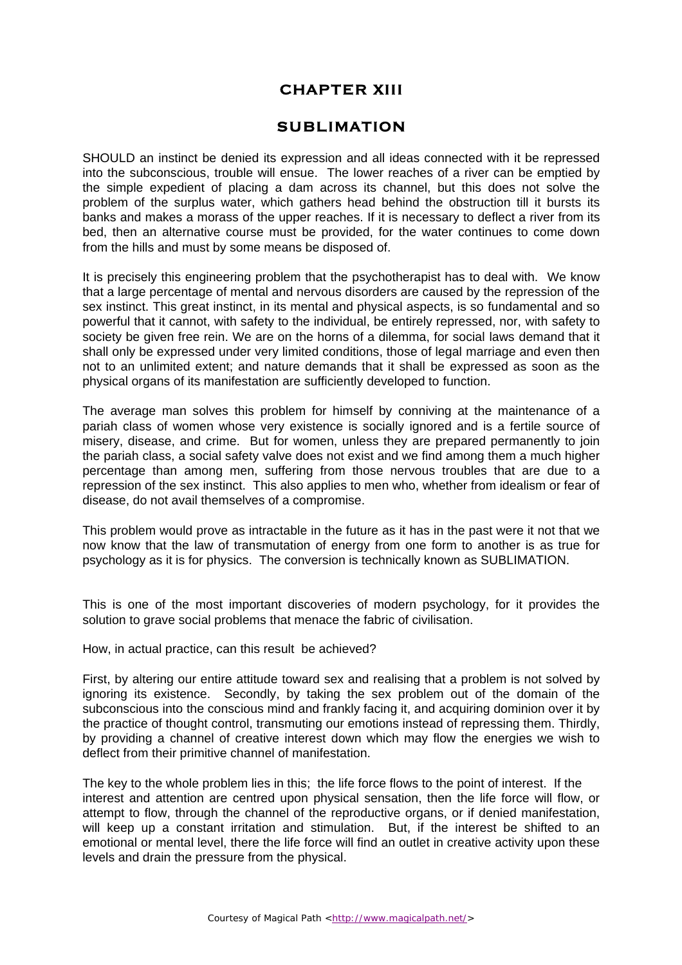#### **CHAPTER XIII**

#### **SUBLIMATION**

SHOULD an instinct be denied its expression and all ideas connected with it be repressed into the subconscious, trouble will ensue. The lower reaches of a river can be emptied by the simple expedient of placing a dam across its channel, but this does not solve the problem of the surplus water, which gathers head behind the obstruction till it bursts its banks and makes a morass of the upper reaches. If it is necessary to deflect a river from its bed, then an alternative course must be provided, for the water continues to come down from the hills and must by some means be disposed of.

It is precisely this engineering problem that the psychotherapist has to deal with. We know that a large percentage of mental and nervous disorders are caused by the repression of the sex instinct. This great instinct, in its mental and physical aspects, is so fundamental and so powerful that it cannot, with safety to the individual, be entirely repressed, nor, with safety to society be given free rein. We are on the horns of a dilemma, for social laws demand that it shall only be expressed under very limited conditions, those of legal marriage and even then not to an unlimited extent; and nature demands that it shall be expressed as soon as the physical organs of its manifestation are sufficiently developed to function.

The average man solves this problem for himself by conniving at the maintenance of a pariah class of women whose very existence is socially ignored and is a fertile source of misery, disease, and crime. But for women, unless they are prepared permanently to join the pariah class, a social safety valve does not exist and we find among them a much higher percentage than among men, suffering from those nervous troubles that are due to a repression of the sex instinct. This also applies to men who, whether from idealism or fear of disease, do not avail themselves of a compromise.

This problem would prove as intractable in the future as it has in the past were it not that we now know that the law of transmutation of energy from one form to another is as true for psychology as it is for physics. The conversion is technically known as SUBLIMATION.

This is one of the most important discoveries of modern psychology, for it provides the solution to grave social problems that menace the fabric of civilisation.

How, in actual practice, can this result be achieved?

First, by altering our entire attitude toward sex and realising that a problem is not solved by ignoring its existence. Secondly, by taking the sex problem out of the domain of the subconscious into the conscious mind and frankly facing it, and acquiring dominion over it by the practice of thought control, transmuting our emotions instead of repressing them. Thirdly, by providing a channel of creative interest down which may flow the energies we wish to deflect from their primitive channel of manifestation.

The key to the whole problem lies in this; the life force flows to the point of interest. If the interest and attention are centred upon physical sensation, then the life force will flow, or attempt to flow, through the channel of the reproductive organs, or if denied manifestation, will keep up a constant irritation and stimulation. But, if the interest be shifted to an emotional or mental level, there the life force will find an outlet in creative activity upon these levels and drain the pressure from the physical.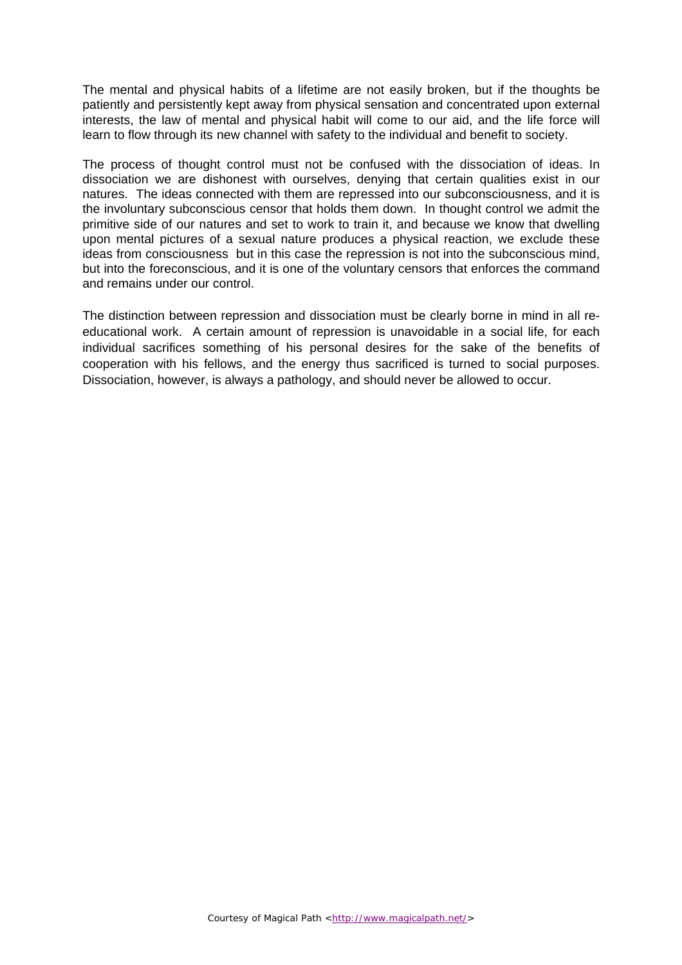The mental and physical habits of a lifetime are not easily broken, but if the thoughts be patiently and persistently kept away from physical sensation and concentrated upon external interests, the law of mental and physical habit will come to our aid, and the life force will learn to flow through its new channel with safety to the individual and benefit to society.

The process of thought control must not be confused with the dissociation of ideas. In dissociation we are dishonest with ourselves, denying that certain qualities exist in our natures. The ideas connected with them are repressed into our subconsciousness, and it is the involuntary subconscious censor that holds them down. In thought control we admit the primitive side of our natures and set to work to train it, and because we know that dwelling upon mental pictures of a sexual nature produces a physical reaction, we exclude these ideas from consciousness but in this case the repression is not into the subconscious mind, but into the foreconscious, and it is one of the voluntary censors that enforces the command and remains under our control.

The distinction between repression and dissociation must be clearly borne in mind in all reeducational work. A certain amount of repression is unavoidable in a social life, for each individual sacrifices something of his personal desires for the sake of the benefits of cooperation with his fellows, and the energy thus sacrificed is turned to social purposes. Dissociation, however, is always a pathology, and should never be allowed to occur.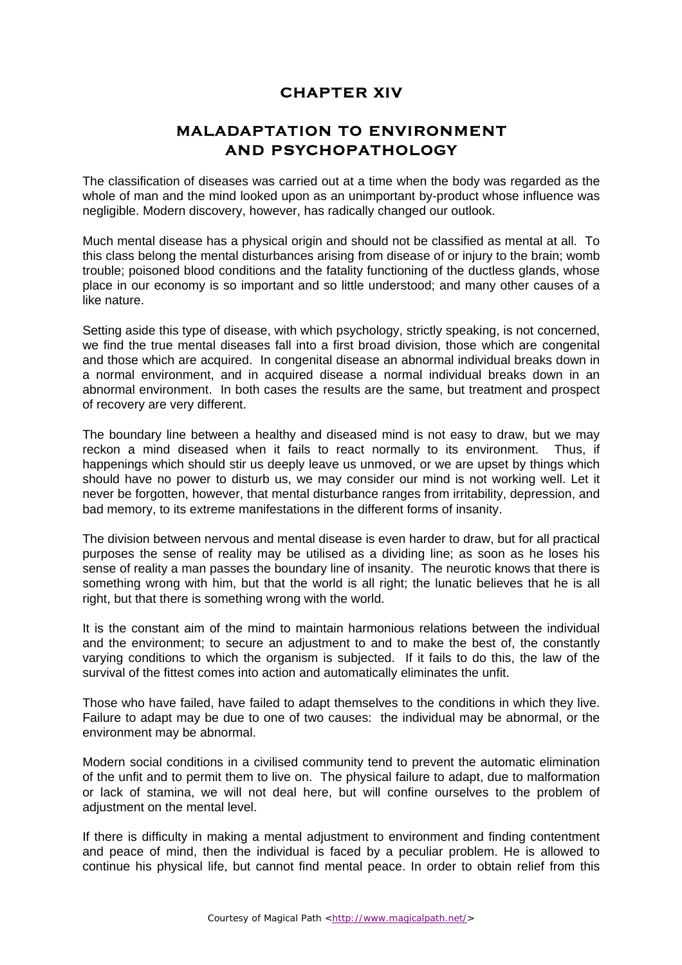#### **CHAPTER XIV**

### **MALADAPTATION TO ENVIRONMENT AND PSYCHOPATHOLOGY**

The classification of diseases was carried out at a time when the body was regarded as the whole of man and the mind looked upon as an unimportant by-product whose influence was negligible. Modern discovery, however, has radically changed our outlook.

Much mental disease has a physical origin and should not be classified as mental at all. To this class belong the mental disturbances arising from disease of or injury to the brain; womb trouble; poisoned blood conditions and the fatality functioning of the ductless glands, whose place in our economy is so important and so little understood; and many other causes of a like nature.

Setting aside this type of disease, with which psychology, strictly speaking, is not concerned, we find the true mental diseases fall into a first broad division, those which are congenital and those which are acquired. In congenital disease an abnormal individual breaks down in a normal environment, and in acquired disease a normal individual breaks down in an abnormal environment. In both cases the results are the same, but treatment and prospect of recovery are very different.

The boundary line between a healthy and diseased mind is not easy to draw, but we may reckon a mind diseased when it fails to react normally to its environment. Thus, if happenings which should stir us deeply leave us unmoved, or we are upset by things which should have no power to disturb us, we may consider our mind is not working well. Let it never be forgotten, however, that mental disturbance ranges from irritability, depression, and bad memory, to its extreme manifestations in the different forms of insanity.

The division between nervous and mental disease is even harder to draw, but for all practical purposes the sense of reality may be utilised as a dividing line; as soon as he loses his sense of reality a man passes the boundary line of insanity. The neurotic knows that there is something wrong with him, but that the world is all right; the lunatic believes that he is all right, but that there is something wrong with the world.

It is the constant aim of the mind to maintain harmonious relations between the individual and the environment; to secure an adjustment to and to make the best of, the constantly varying conditions to which the organism is subjected. If it fails to do this, the law of the survival of the fittest comes into action and automatically eliminates the unfit.

Those who have failed, have failed to adapt themselves to the conditions in which they live. Failure to adapt may be due to one of two causes: the individual may be abnormal, or the environment may be abnormal.

Modern social conditions in a civilised community tend to prevent the automatic elimination of the unfit and to permit them to live on. The physical failure to adapt, due to malformation or lack of stamina, we will not deal here, but will confine ourselves to the problem of adjustment on the mental level.

If there is difficulty in making a mental adjustment to environment and finding contentment and peace of mind, then the individual is faced by a peculiar problem. He is allowed to continue his physical life, but cannot find mental peace. In order to obtain relief from this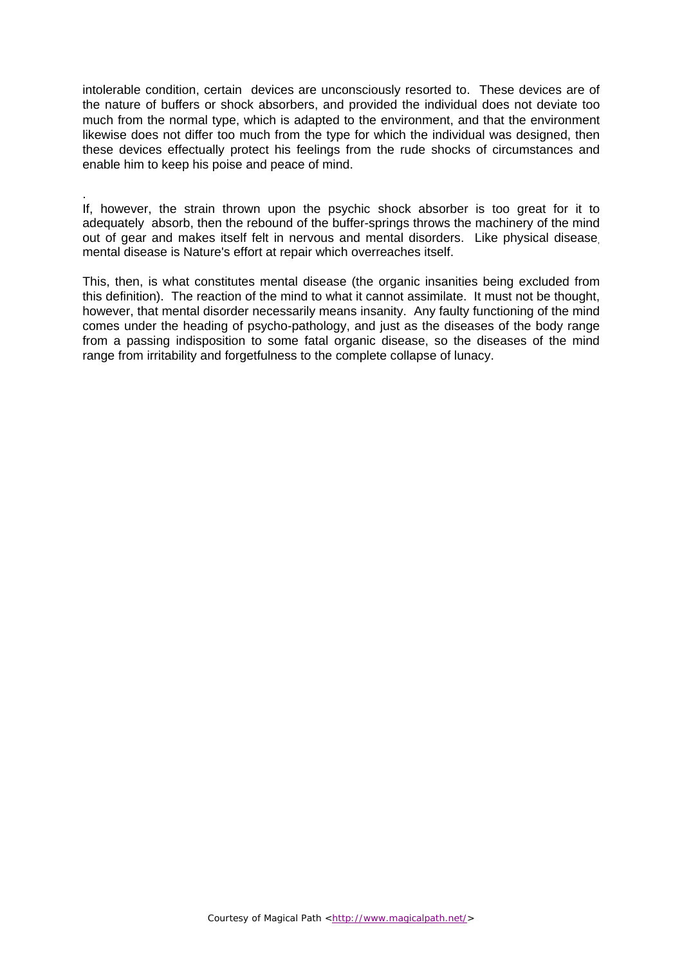intolerable condition, certain devices are unconsciously resorted to. These devices are of the nature of buffers or shock absorbers, and provided the individual does not deviate too much from the normal type, which is adapted to the environment, and that the environment likewise does not differ too much from the type for which the individual was designed, then these devices effectually protect his feelings from the rude shocks of circumstances and enable him to keep his poise and peace of mind.

If, however, the strain thrown upon the psychic shock absorber is too great for it to adequately absorb, then the rebound of the buffer-springs throws the machinery of the mind out of gear and makes itself felt in nervous and mental disorders. Like physical disease mental disease is Nature's effort at repair which overreaches itself.

.

This, then, is what constitutes mental disease (the organic insanities being excluded from this definition). The reaction of the mind to what it cannot assimilate. It must not be thought, however, that mental disorder necessarily means insanity. Any faulty functioning of the mind comes under the heading of psycho-pathology, and just as the diseases of the body range from a passing indisposition to some fatal organic disease, so the diseases of the mind range from irritability and forgetfulness to the complete collapse of lunacy.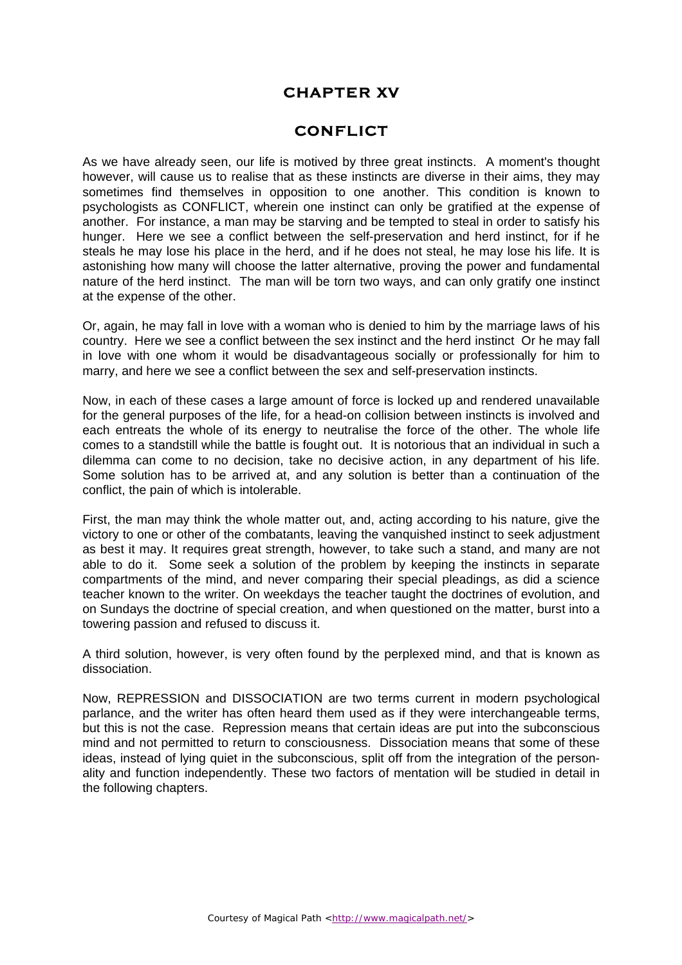#### **CHAPTER XV**

#### **CONFLICT**

As we have already seen, our life is motived by three great instincts. A moment's thought however, will cause us to realise that as these instincts are diverse in their aims, they may sometimes find themselves in opposition to one another. This condition is known to psychologists as CONFLICT, wherein one instinct can only be gratified at the expense of another. For instance, a man may be starving and be tempted to steal in order to satisfy his hunger. Here we see a conflict between the self-preservation and herd instinct, for if he steals he may lose his place in the herd, and if he does not steal, he may lose his life. It is astonishing how many will choose the latter alternative, proving the power and fundamental nature of the herd instinct. The man will be torn two ways, and can only gratify one instinct at the expense of the other.

Or, again, he may fall in love with a woman who is denied to him by the marriage laws of his country. Here we see a conflict between the sex instinct and the herd instinct Or he may fall in love with one whom it would be disadvantageous socially or professionally for him to marry, and here we see a conflict between the sex and self-preservation instincts.

Now, in each of these cases a large amount of force is locked up and rendered unavailable for the general purposes of the life, for a head-on collision between instincts is involved and each entreats the whole of its energy to neutralise the force of the other. The whole life comes to a standstill while the battle is fought out. It is notorious that an individual in such a dilemma can come to no decision, take no decisive action, in any department of his life. Some solution has to be arrived at, and any solution is better than a continuation of the conflict, the pain of which is intolerable.

First, the man may think the whole matter out, and, acting according to his nature, give the victory to one or other of the combatants, leaving the vanquished instinct to seek adjustment as best it may. It requires great strength, however, to take such a stand, and many are not able to do it. Some seek a solution of the problem by keeping the instincts in separate compartments of the mind, and never comparing their special pleadings, as did a science teacher known to the writer. On weekdays the teacher taught the doctrines of evolution, and on Sundays the doctrine of special creation, and when questioned on the matter, burst into a towering passion and refused to discuss it.

A third solution, however, is very often found by the perplexed mind, and that is known as dissociation.

Now, REPRESSION and DISSOCIATION are two terms current in modern psychological parlance, and the writer has often heard them used as if they were interchangeable terms, but this is not the case. Repression means that certain ideas are put into the subconscious mind and not permitted to return to consciousness. Dissociation means that some of these ideas, instead of lying quiet in the subconscious, split off from the integration of the personality and function independently. These two factors of mentation will be studied in detail in the following chapters.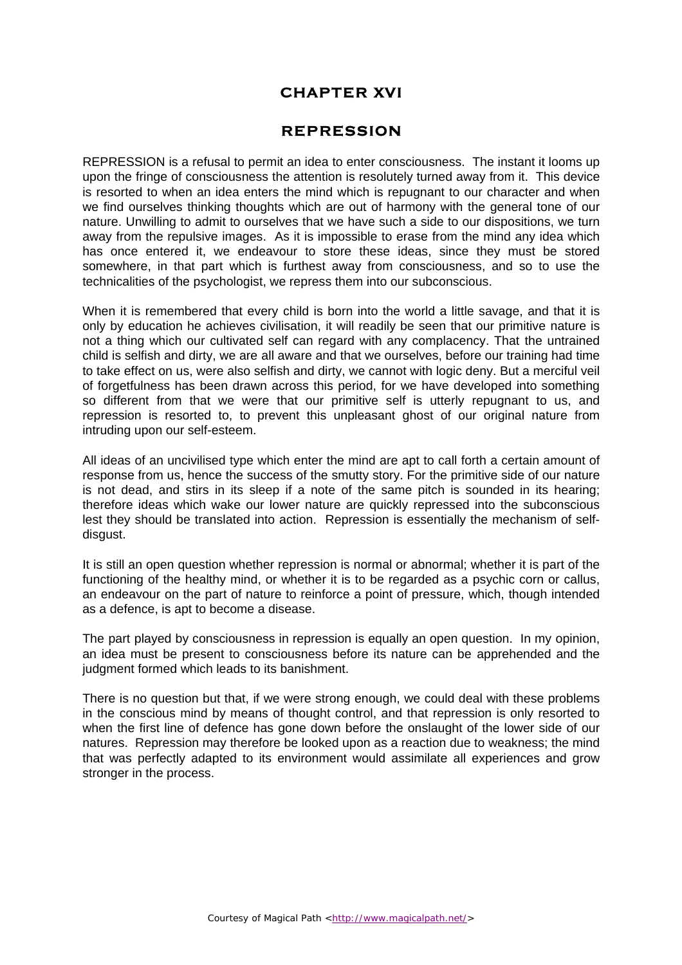#### **CHAPTER XVI**

#### **REPRESSION**

REPRESSION is a refusal to permit an idea to enter consciousness. The instant it looms up upon the fringe of consciousness the attention is resolutely turned away from it. This device is resorted to when an idea enters the mind which is repugnant to our character and when we find ourselves thinking thoughts which are out of harmony with the general tone of our nature. Unwilling to admit to ourselves that we have such a side to our dispositions, we turn away from the repulsive images. As it is impossible to erase from the mind any idea which has once entered it, we endeavour to store these ideas, since they must be stored somewhere, in that part which is furthest away from consciousness, and so to use the technicalities of the psychologist, we repress them into our subconscious.

When it is remembered that every child is born into the world a little savage, and that it is only by education he achieves civilisation, it will readily be seen that our primitive nature is not a thing which our cultivated self can regard with any complacency. That the untrained child is selfish and dirty, we are all aware and that we ourselves, before our training had time to take effect on us, were also selfish and dirty, we cannot with logic deny. But a merciful veil of forgetfulness has been drawn across this period, for we have developed into something so different from that we were that our primitive self is utterly repugnant to us, and repression is resorted to, to prevent this unpleasant ghost of our original nature from intruding upon our self-esteem.

All ideas of an uncivilised type which enter the mind are apt to call forth a certain amount of response from us, hence the success of the smutty story. For the primitive side of our nature is not dead, and stirs in its sleep if a note of the same pitch is sounded in its hearing; therefore ideas which wake our lower nature are quickly repressed into the subconscious lest they should be translated into action. Repression is essentially the mechanism of selfdisgust.

It is still an open question whether repression is normal or abnormal; whether it is part of the functioning of the healthy mind, or whether it is to be regarded as a psychic corn or callus, an endeavour on the part of nature to reinforce a point of pressure, which, though intended as a defence, is apt to become a disease.

The part played by consciousness in repression is equally an open question. In my opinion, an idea must be present to consciousness before its nature can be apprehended and the judgment formed which leads to its banishment.

There is no question but that, if we were strong enough, we could deal with these problems in the conscious mind by means of thought control, and that repression is only resorted to when the first line of defence has gone down before the onslaught of the lower side of our natures. Repression may therefore be looked upon as a reaction due to weakness; the mind that was perfectly adapted to its environment would assimilate all experiences and grow stronger in the process.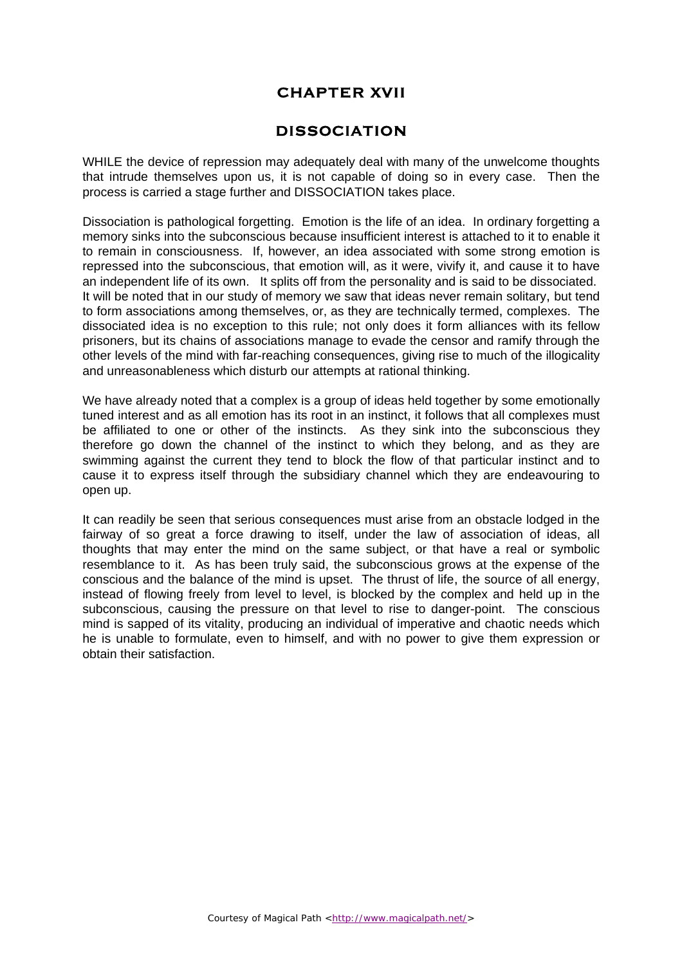#### **CHAPTER XVII**

#### **DISSOCIATION**

WHILE the device of repression may adequately deal with many of the unwelcome thoughts that intrude themselves upon us, it is not capable of doing so in every case. Then the process is carried a stage further and DISSOCIATION takes place.

Dissociation is pathological forgetting. Emotion is the life of an idea. In ordinary forgetting a memory sinks into the subconscious because insufficient interest is attached to it to enable it to remain in consciousness. If, however, an idea associated with some strong emotion is repressed into the subconscious, that emotion will, as it were, vivify it, and cause it to have an independent life of its own. It splits off from the personality and is said to be dissociated. It will be noted that in our study of memory we saw that ideas never remain solitary, but tend to form associations among themselves, or, as they are technically termed, complexes. The dissociated idea is no exception to this rule; not only does it form alliances with its fellow prisoners, but its chains of associations manage to evade the censor and ramify through the other levels of the mind with far-reaching consequences, giving rise to much of the illogicality and unreasonableness which disturb our attempts at rational thinking.

We have already noted that a complex is a group of ideas held together by some emotionally tuned interest and as all emotion has its root in an instinct, it follows that all complexes must be affiliated to one or other of the instincts. As they sink into the subconscious they therefore go down the channel of the instinct to which they belong, and as they are swimming against the current they tend to block the flow of that particular instinct and to cause it to express itself through the subsidiary channel which they are endeavouring to open up.

It can readily be seen that serious consequences must arise from an obstacle lodged in the fairway of so great a force drawing to itself, under the law of association of ideas, all thoughts that may enter the mind on the same subject, or that have a real or symbolic resemblance to it. As has been truly said, the subconscious grows at the expense of the conscious and the balance of the mind is upset. The thrust of life, the source of all energy, instead of flowing freely from level to level, is blocked by the complex and held up in the subconscious, causing the pressure on that level to rise to danger-point. The conscious mind is sapped of its vitality, producing an individual of imperative and chaotic needs which he is unable to formulate, even to himself, and with no power to give them expression or obtain their satisfaction.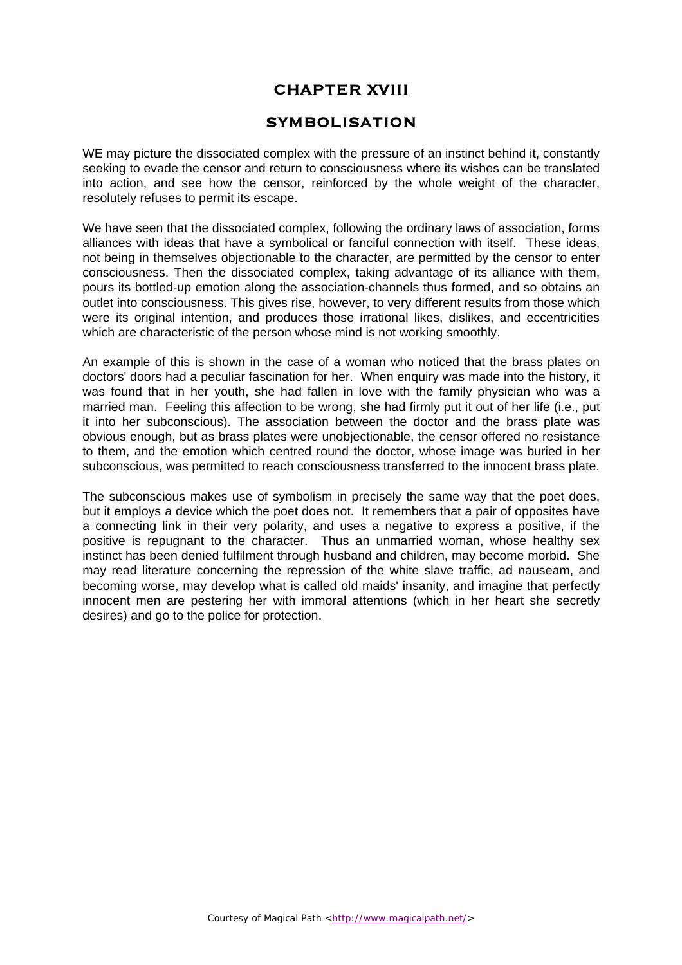## **CHAPTER XVIII SYMBOLISATION**

WE may picture the dissociated complex with the pressure of an instinct behind it, constantly seeking to evade the censor and return to consciousness where its wishes can be translated into action, and see how the censor, reinforced by the whole weight of the character, resolutely refuses to permit its escape.

We have seen that the dissociated complex, following the ordinary laws of association, forms alliances with ideas that have a symbolical or fanciful connection with itself. These ideas, not being in themselves objectionable to the character, are permitted by the censor to enter consciousness. Then the dissociated complex, taking advantage of its alliance with them, pours its bottled-up emotion along the association-channels thus formed, and so obtains an outlet into consciousness. This gives rise, however, to very different results from those which were its original intention, and produces those irrational likes, dislikes, and eccentricities which are characteristic of the person whose mind is not working smoothly.

An example of this is shown in the case of a woman who noticed that the brass plates on doctors' doors had a peculiar fascination for her. When enquiry was made into the history, it was found that in her youth, she had fallen in love with the family physician who was a married man. Feeling this affection to be wrong, she had firmly put it out of her life (i.e., put it into her subconscious). The association between the doctor and the brass plate was obvious enough, but as brass plates were unobjectionable, the censor offered no resistance to them, and the emotion which centred round the doctor, whose image was buried in her subconscious, was permitted to reach consciousness transferred to the innocent brass plate.

The subconscious makes use of symbolism in precisely the same way that the poet does, but it employs a device which the poet does not. It remembers that a pair of opposites have a connecting link in their very polarity, and uses a negative to express a positive, if the positive is repugnant to the character. Thus an unmarried woman, whose healthy sex instinct has been denied fulfilment through husband and children, may become morbid. She may read literature concerning the repression of the white slave traffic, ad nauseam, and becoming worse, may develop what is called old maids' insanity, and imagine that perfectly innocent men are pestering her with immoral attentions (which in her heart she secretly desires) and go to the police for protection.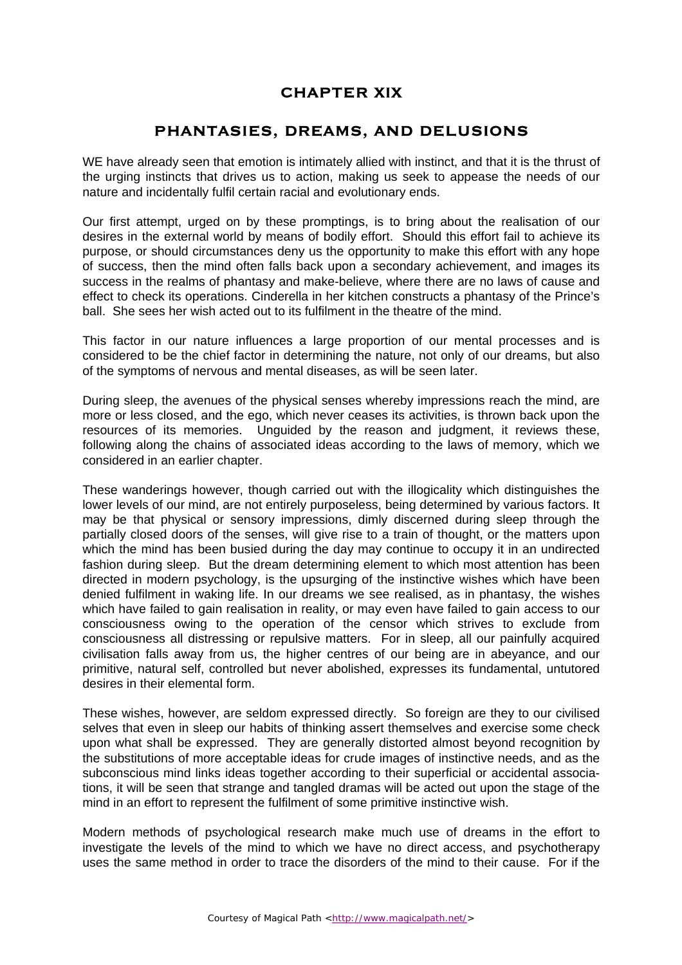#### **CHAPTER XIX**

#### **PHANTASIES, DREAMS, AND DELUSIONS**

WE have already seen that emotion is intimately allied with instinct, and that it is the thrust of the urging instincts that drives us to action, making us seek to appease the needs of our nature and incidentally fulfil certain racial and evolutionary ends.

Our first attempt, urged on by these promptings, is to bring about the realisation of our desires in the external world by means of bodily effort. Should this effort fail to achieve its purpose, or should circumstances deny us the opportunity to make this effort with any hope of success, then the mind often falls back upon a secondary achievement, and images its success in the realms of phantasy and make-believe, where there are no laws of cause and effect to check its operations. Cinderella in her kitchen constructs a phantasy of the Prince's ball. She sees her wish acted out to its fulfilment in the theatre of the mind.

This factor in our nature influences a large proportion of our mental processes and is considered to be the chief factor in determining the nature, not only of our dreams, but also of the symptoms of nervous and mental diseases, as will be seen later.

During sleep, the avenues of the physical senses whereby impressions reach the mind, are more or less closed, and the ego, which never ceases its activities, is thrown back upon the resources of its memories. Unguided by the reason and judgment, it reviews these, following along the chains of associated ideas according to the laws of memory, which we considered in an earlier chapter.

These wanderings however, though carried out with the illogicality which distinguishes the lower levels of our mind, are not entirely purposeless, being determined by various factors. It may be that physical or sensory impressions, dimly discerned during sleep through the partially closed doors of the senses, will give rise to a train of thought, or the matters upon which the mind has been busied during the day may continue to occupy it in an undirected fashion during sleep. But the dream determining element to which most attention has been directed in modern psychology, is the upsurging of the instinctive wishes which have been denied fulfilment in waking life. In our dreams we see realised, as in phantasy, the wishes which have failed to gain realisation in reality, or may even have failed to gain access to our consciousness owing to the operation of the censor which strives to exclude from consciousness all distressing or repulsive matters. For in sleep, all our painfully acquired civilisation falls away from us, the higher centres of our being are in abeyance, and our primitive, natural self, controlled but never abolished, expresses its fundamental, untutored desires in their elemental form.

These wishes, however, are seldom expressed directly. So foreign are they to our civilised selves that even in sleep our habits of thinking assert themselves and exercise some check upon what shall be expressed. They are generally distorted almost beyond recognition by the substitutions of more acceptable ideas for crude images of instinctive needs, and as the subconscious mind links ideas together according to their superficial or accidental associations, it will be seen that strange and tangled dramas will be acted out upon the stage of the mind in an effort to represent the fulfilment of some primitive instinctive wish.

Modern methods of psychological research make much use of dreams in the effort to investigate the levels of the mind to which we have no direct access, and psychotherapy uses the same method in order to trace the disorders of the mind to their cause. For if the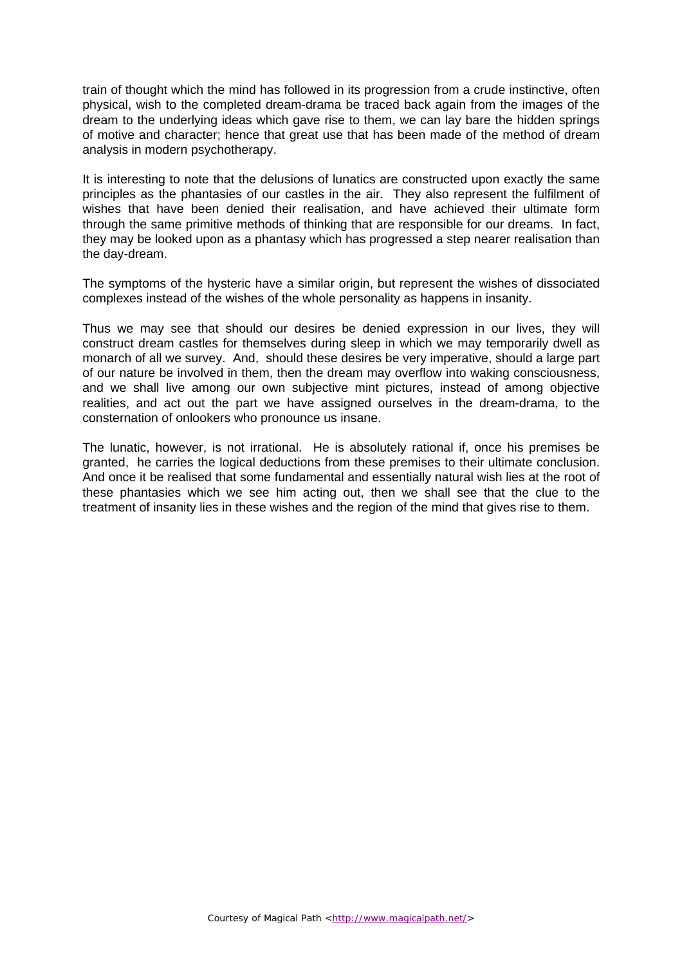train of thought which the mind has followed in its progression from a crude instinctive, often physical, wish to the completed dream-drama be traced back again from the images of the dream to the underlying ideas which gave rise to them, we can lay bare the hidden springs of motive and character; hence that great use that has been made of the method of dream analysis in modern psychotherapy.

It is interesting to note that the delusions of lunatics are constructed upon exactly the same principles as the phantasies of our castles in the air. They also represent the fulfilment of wishes that have been denied their realisation, and have achieved their ultimate form through the same primitive methods of thinking that are responsible for our dreams. In fact, they may be looked upon as a phantasy which has progressed a step nearer realisation than the day-dream.

The symptoms of the hysteric have a similar origin, but represent the wishes of dissociated complexes instead of the wishes of the whole personality as happens in insanity.

Thus we may see that should our desires be denied expression in our lives, they will construct dream castles for themselves during sleep in which we may temporarily dwell as monarch of all we survey. And, should these desires be very imperative, should a large part of our nature be involved in them, then the dream may overflow into waking consciousness, and we shall live among our own subjective mint pictures, instead of among objective realities, and act out the part we have assigned ourselves in the dream-drama, to the consternation of onlookers who pronounce us insane.

The lunatic, however, is not irrational. He is absolutely rational if, once his premises be granted, he carries the logical deductions from these premises to their ultimate conclusion. And once it be realised that some fundamental and essentially natural wish lies at the root of these phantasies which we see him acting out, then we shall see that the clue to the treatment of insanity lies in these wishes and the region of the mind that gives rise to them.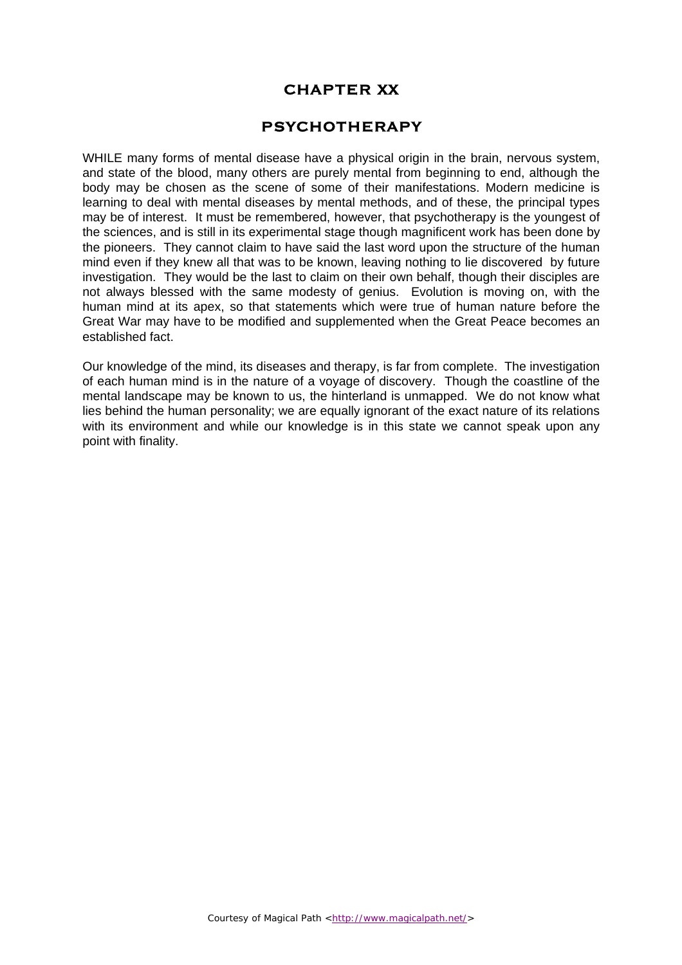#### **CHAPTER XX**

#### **PSYCHOTHERAPY**

WHILE many forms of mental disease have a physical origin in the brain, nervous system, and state of the blood, many others are purely mental from beginning to end, although the body may be chosen as the scene of some of their manifestations. Modern medicine is learning to deal with mental diseases by mental methods, and of these, the principal types may be of interest. It must be remembered, however, that psychotherapy is the youngest of the sciences, and is still in its experimental stage though magnificent work has been done by the pioneers. They cannot claim to have said the last word upon the structure of the human mind even if they knew all that was to be known, leaving nothing to lie discovered by future investigation. They would be the last to claim on their own behalf, though their disciples are not always blessed with the same modesty of genius. Evolution is moving on, with the human mind at its apex, so that statements which were true of human nature before the Great War may have to be modified and supplemented when the Great Peace becomes an established fact.

Our knowledge of the mind, its diseases and therapy, is far from complete. The investigation of each human mind is in the nature of a voyage of discovery. Though the coastline of the mental landscape may be known to us, the hinterland is unmapped. We do not know what lies behind the human personality; we are equally ignorant of the exact nature of its relations with its environment and while our knowledge is in this state we cannot speak upon any point with finality.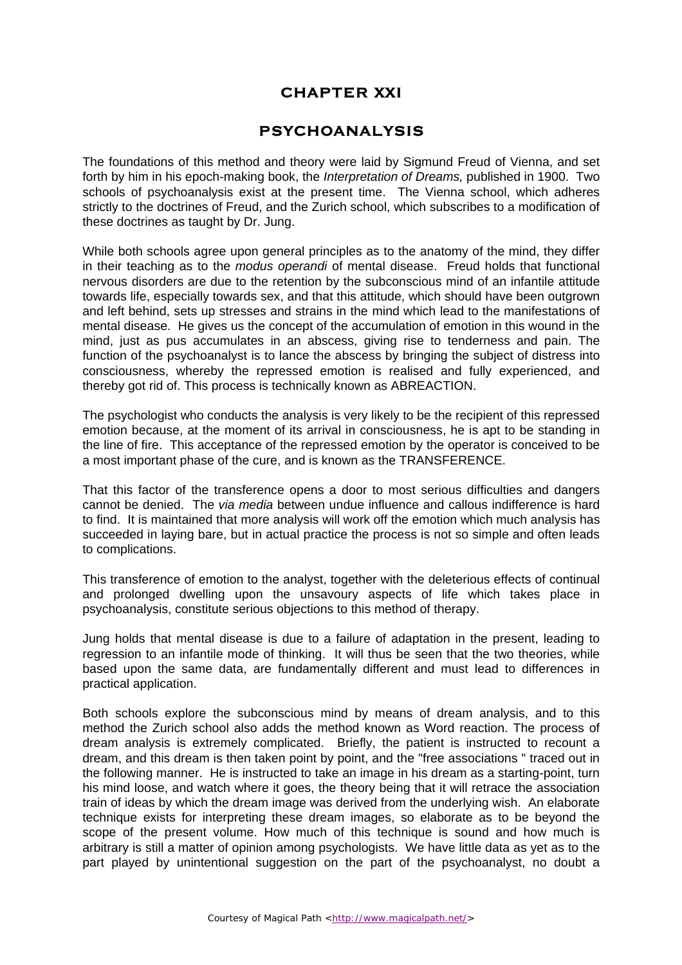#### **CHAPTER XXI**

#### **PSYCHOANALYSIS**

The foundations of this method and theory were laid by Sigmund Freud of Vienna, and set forth by him in his epoch-making book, the *Interpretation of Dreams,* published in 1900.Two schools of psychoanalysis exist at the present time. The Vienna school, which adheres strictly to the doctrines of Freud, and the Zurich school, which subscribes to a modification of these doctrines as taught by Dr. Jung.

While both schools agree upon general principles as to the anatomy of the mind, they differ in their teaching as to the *modus operandi* of mental disease. Freud holds that functional nervous disorders are due to the retention by the subconscious mind of an infantile attitude towards life, especially towards sex, and that this attitude, which should have been outgrown and left behind, sets up stresses and strains in the mind which lead to the manifestations of mental disease. He gives us the concept of the accumulation of emotion in this wound in the mind, just as pus accumulates in an abscess, giving rise to tenderness and pain. The function of the psychoanalyst is to lance the abscess by bringing the subject of distress into consciousness, whereby the repressed emotion is realised and fully experienced, and thereby got rid of. This process is technically known as ABREACTION.

The psychologist who conducts the analysis is very likely to be the recipient of this repressed emotion because, at the moment of its arrival in consciousness, he is apt to be standing in the line of fire. This acceptance of the repressed emotion by the operator is conceived to be a most important phase of the cure, and is known as the TRANSFERENCE.

That this factor of the transference opens a door to most serious difficulties and dangers cannot be denied. The *via media* between undue influence and callous indifference is hard to find. It is maintained that more analysis will work off the emotion which much analysis has succeeded in laying bare, but in actual practice the process is not so simple and often leads to complications.

This transference of emotion to the analyst, together with the deleterious effects of continual and prolonged dwelling upon the unsavoury aspects of life which takes place in psychoanalysis, constitute serious objections to this method of therapy.

Jung holds that mental disease is due to a failure of adaptation in the present, leading to regression to an infantile mode of thinking. It will thus be seen that the two theories, while based upon the same data, are fundamentally different and must lead to differences in practical application.

Both schools explore the subconscious mind by means of dream analysis, and to this method the Zurich school also adds the method known as Word reaction. The process of dream analysis is extremely complicated. Briefly, the patient is instructed to recount a dream, and this dream is then taken point by point, and the "free associations " traced out in the following manner. He is instructed to take an image in his dream as a starting-point, turn his mind loose, and watch where it goes, the theory being that it will retrace the association train of ideas by which the dream image was derived from the underlying wish. An elaborate technique exists for interpreting these dream images, so elaborate as to be beyond the scope of the present volume. How much of this technique is sound and how much is arbitrary is still a matter of opinion among psychologists. We have little data as yet as to the part played by unintentional suggestion on the part of the psychoanalyst, no doubt a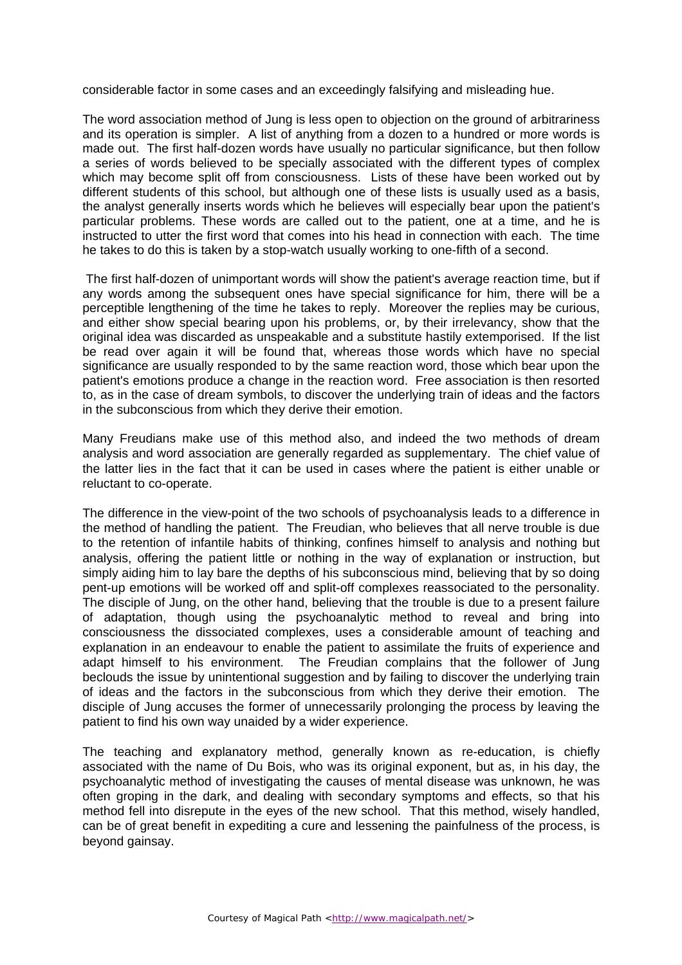considerable factor in some cases and an exceedingly falsifying and misleading hue.

The word association method of Jung is less open to objection on the ground of arbitrariness and its operation is simpler. A list of anything from a dozen to a hundred or more words is made out. The first half-dozen words have usually no particular significance, but then follow a series of words believed to be specially associated with the different types of complex which may become split off from consciousness. Lists of these have been worked out by different students of this school, but although one of these lists is usually used as a basis, the analyst generally inserts words which he believes will especially bear upon the patient's particular problems. These words are called out to the patient, one at a time, and he is instructed to utter the first word that comes into his head in connection with each. The time he takes to do this is taken by a stop-watch usually working to one-fifth of a second.

 The first half-dozen of unimportant words will show the patient's average reaction time, but if any words among the subsequent ones have special significance for him, there will be a perceptible lengthening of the time he takes to reply. Moreover the replies may be curious, and either show special bearing upon his problems, or, by their irrelevancy, show that the original idea was discarded as unspeakable and a substitute hastily extemporised. If the list be read over again it will be found that, whereas those words which have no special significance are usually responded to by the same reaction word, those which bear upon the patient's emotions produce a change in the reaction word. Free association is then resorted to, as in the case of dream symbols, to discover the underlying train of ideas and the factors in the subconscious from which they derive their emotion.

Many Freudians make use of this method also, and indeed the two methods of dream analysis and word association are generally regarded as supplementary. The chief value of the latter lies in the fact that it can be used in cases where the patient is either unable or reluctant to co-operate.

The difference in the view-point of the two schools of psychoanalysis leads to a difference in the method of handling the patient. The Freudian, who believes that all nerve trouble is due to the retention of infantile habits of thinking, confines himself to analysis and nothing but analysis, offering the patient little or nothing in the way of explanation or instruction, but simply aiding him to lay bare the depths of his subconscious mind, believing that by so doing pent-up emotions will be worked off and split-off complexes reassociated to the personality. The disciple of Jung, on the other hand, believing that the trouble is due to a present failure of adaptation, though using the psychoanalytic method to reveal and bring into consciousness the dissociated complexes, uses a considerable amount of teaching and explanation in an endeavour to enable the patient to assimilate the fruits of experience and adapt himself to his environment. The Freudian complains that the follower of Jung beclouds the issue by unintentional suggestion and by failing to discover the underlying train of ideas and the factors in the subconscious from which they derive their emotion. The disciple of Jung accuses the former of unnecessarily prolonging the process by leaving the patient to find his own way unaided by a wider experience.

The teaching and explanatory method, generally known as re-education, is chiefly associated with the name of Du Bois, who was its original exponent, but as, in his day, the psychoanalytic method of investigating the causes of mental disease was unknown, he was often groping in the dark, and dealing with secondary symptoms and effects, so that his method fell into disrepute in the eyes of the new school. That this method, wisely handled, can be of great benefit in expediting a cure and lessening the painfulness of the process, is beyond gainsay.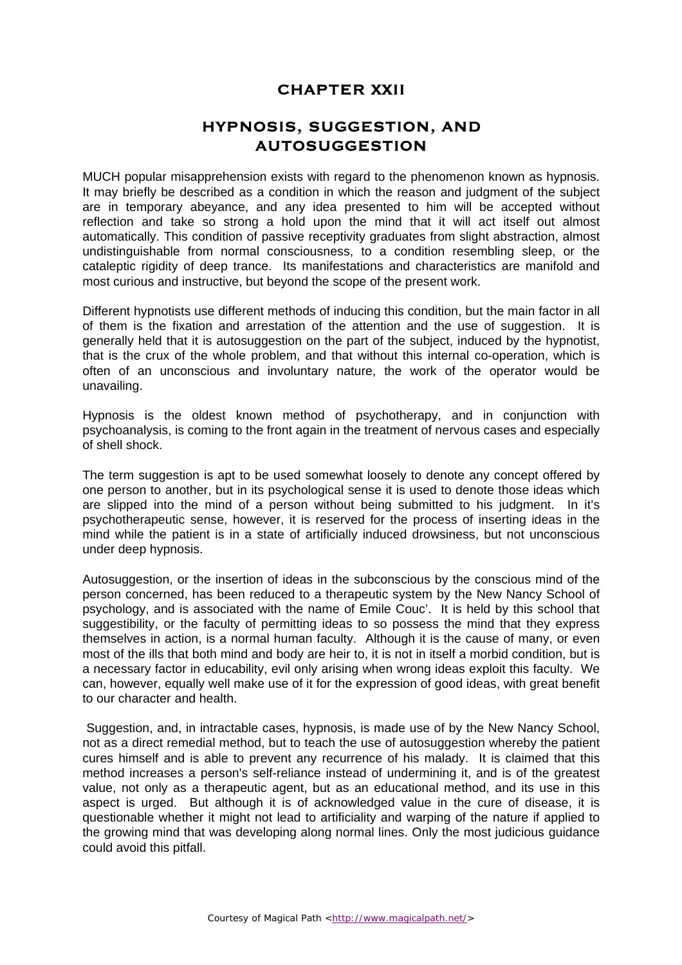#### **CHAPTER XXII**

#### **HYPNOSIS, SUGGESTION, AND AUTOSUGGESTION**

MUCH popular misapprehension exists with regard to the phenomenon known as hypnosis. It may briefly be described as a condition in which the reason and judgment of the subject are in temporary abeyance, and any idea presented to him will be accepted without reflection and take so strong a hold upon the mind that it will act itself out almost automatically. This condition of passive receptivity graduates from slight abstraction, almost undistinguishable from normal consciousness, to a condition resembling sleep, or the cataleptic rigidity of deep trance. Its manifestations and characteristics are manifold and most curious and instructive, but beyond the scope of the present work.

Different hypnotists use different methods of inducing this condition, but the main factor in all of them is the fixation and arrestation of the attention and the use of suggestion. It is generally held that it is autosuggestion on the part of the subject, induced by the hypnotist, that is the crux of the whole problem, and that without this internal co-operation, which is often of an unconscious and involuntary nature, the work of the operator would be unavailing.

Hypnosis is the oldest known method of psychotherapy, and in conjunction with psychoanalysis, is coming to the front again in the treatment of nervous cases and especially of shell shock.

The term suggestion is apt to be used somewhat loosely to denote any concept offered by one person to another, but in its psychological sense it is used to denote those ideas which are slipped into the mind of a person without being submitted to his judgment. In it's psychotherapeutic sense, however, it is reserved for the process of inserting ideas in the mind while the patient is in a state of artificially induced drowsiness, but not unconscious under deep hypnosis.

Autosuggestion, or the insertion of ideas in the subconscious by the conscious mind of the person concerned, has been reduced to a therapeutic system by the New Nancy School of psychology, and is associated with the name of Emile Couc'. It is held by this school that suggestibility, or the faculty of permitting ideas to so possess the mind that they express themselves in action, is a normal human faculty. Although it is the cause of many, or even most of the ills that both mind and body are heir to, it is not in itself a morbid condition, but is a necessary factor in educability, evil only arising when wrong ideas exploit this faculty. We can, however, equally well make use of it for the expression of good ideas, with great benefit to our character and health.

Suggestion, and, in intractable cases, hypnosis, is made use of by the New Nancy School, not as a direct remedial method, but to teach the use of autosuggestion whereby the patient cures himself and is able to prevent any recurrence of his malady. It is claimed that this method increases a person's self-reliance instead of undermining it, and is of the greatest value, not only as a therapeutic agent, but as an educational method, and its use in this aspect is urged. But although it is of acknowledged value in the cure of disease, it is questionable whether it might not lead to artificiality and warping of the nature if applied to the growing mind that was developing along normal lines. Only the most judicious guidance could avoid this pitfall.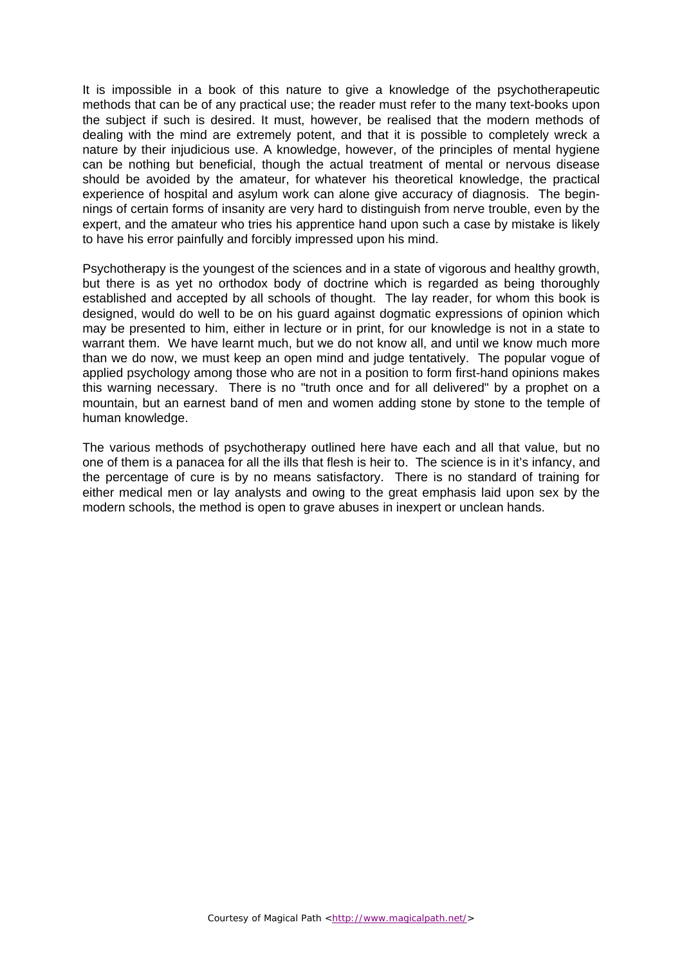It is impossible in a book of this nature to give a knowledge of the psychotherapeutic methods that can be of any practical use; the reader must refer to the many text-books upon the subject if such is desired. It must, however, be realised that the modern methods of dealing with the mind are extremely potent, and that it is possible to completely wreck a nature by their injudicious use. A knowledge, however, of the principles of mental hygiene can be nothing but beneficial, though the actual treatment of mental or nervous disease should be avoided by the amateur, for whatever his theoretical knowledge, the practical experience of hospital and asylum work can alone give accuracy of diagnosis. The beginnings of certain forms of insanity are very hard to distinguish from nerve trouble, even by the expert, and the amateur who tries his apprentice hand upon such a case by mistake is likely to have his error painfully and forcibly impressed upon his mind.

Psychotherapy is the youngest of the sciences and in a state of vigorous and healthy growth, but there is as yet no orthodox body of doctrine which is regarded as being thoroughly established and accepted by all schools of thought. The lay reader, for whom this book is designed, would do well to be on his guard against dogmatic expressions of opinion which may be presented to him, either in lecture or in print, for our knowledge is not in a state to warrant them. We have learnt much, but we do not know all, and until we know much more than we do now, we must keep an open mind and judge tentatively. The popular vogue of applied psychology among those who are not in a position to form first-hand opinions makes this warning necessary. There is no "truth once and for all delivered" by a prophet on a mountain, but an earnest band of men and women adding stone by stone to the temple of human knowledge.

The various methods of psychotherapy outlined here have each and all that value, but no one of them is a panacea for all the ills that flesh is heir to. The science is in it's infancy, and the percentage of cure is by no means satisfactory. There is no standard of training for either medical men or lay analysts and owing to the great emphasis laid upon sex by the modern schools, the method is open to grave abuses in inexpert or unclean hands.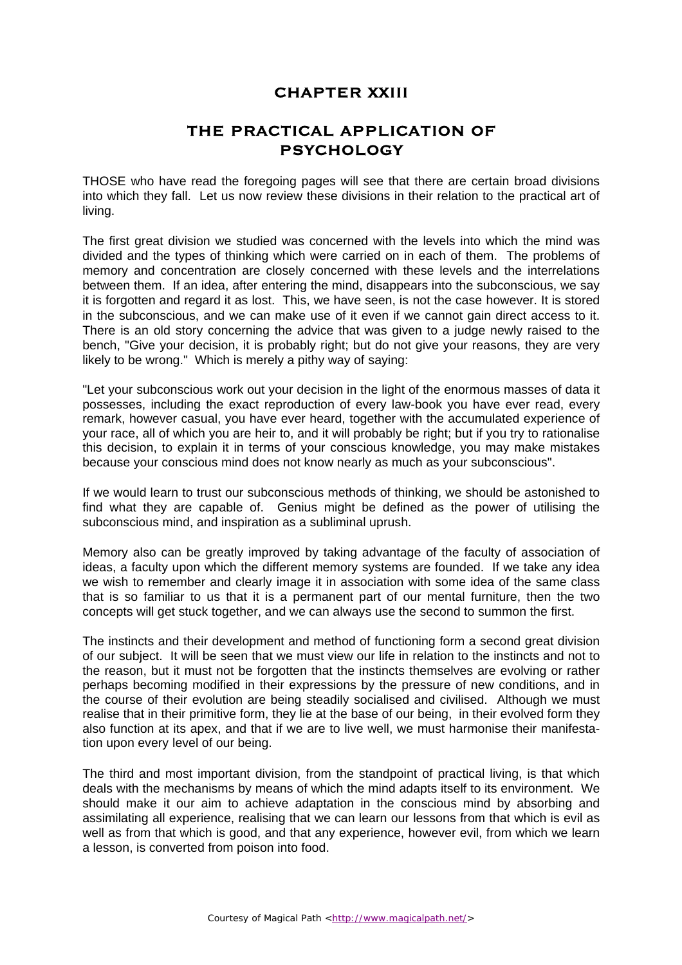#### **CHAPTER XXIII**

#### **THE PRACTICAL APPLICATION OF PSYCHOLOGY**

THOSE who have read the foregoing pages will see that there are certain broad divisions into which they fall. Let us now review these divisions in their relation to the practical art of living.

The first great division we studied was concerned with the levels into which the mind was divided and the types of thinking which were carried on in each of them. The problems of memory and concentration are closely concerned with these levels and the interrelations between them. If an idea, after entering the mind, disappears into the subconscious, we say it is forgotten and regard it as lost. This, we have seen, is not the case however. It is stored in the subconscious, and we can make use of it even if we cannot gain direct access to it. There is an old story concerning the advice that was given to a judge newly raised to the bench, "Give your decision, it is probably right; but do not give your reasons, they are very likely to be wrong." Which is merely a pithy way of saying:

"Let your subconscious work out your decision in the light of the enormous masses of data it possesses, including the exact reproduction of every law-book you have ever read, every remark, however casual, you have ever heard, together with the accumulated experience of your race, all of which you are heir to, and it will probably be right; but if you try to rationalise this decision, to explain it in terms of your conscious knowledge, you may make mistakes because your conscious mind does not know nearly as much as your subconscious".

If we would learn to trust our subconscious methods of thinking, we should be astonished to find what they are capable of. Genius might be defined as the power of utilising the subconscious mind, and inspiration as a subliminal uprush.

Memory also can be greatly improved by taking advantage of the faculty of association of ideas, a faculty upon which the different memory systems are founded. If we take any idea we wish to remember and clearly image it in association with some idea of the same class that is so familiar to us that it is a permanent part of our mental furniture, then the two concepts will get stuck together, and we can always use the second to summon the first.

The instincts and their development and method of functioning form a second great division of our subject. It will be seen that we must view our life in relation to the instincts and not to the reason, but it must not be forgotten that the instincts themselves are evolving or rather perhaps becoming modified in their expressions by the pressure of new conditions, and in the course of their evolution are being steadily socialised and civilised. Although we must realise that in their primitive form, they lie at the base of our being, in their evolved form they also function at its apex, and that if we are to live well, we must harmonise their manifestation upon every level of our being.

The third and most important division, from the standpoint of practical living, is that which deals with the mechanisms by means of which the mind adapts itself to its environment. We should make it our aim to achieve adaptation in the conscious mind by absorbing and assimilating all experience, realising that we can learn our lessons from that which is evil as well as from that which is good, and that any experience, however evil, from which we learn a lesson, is converted from poison into food.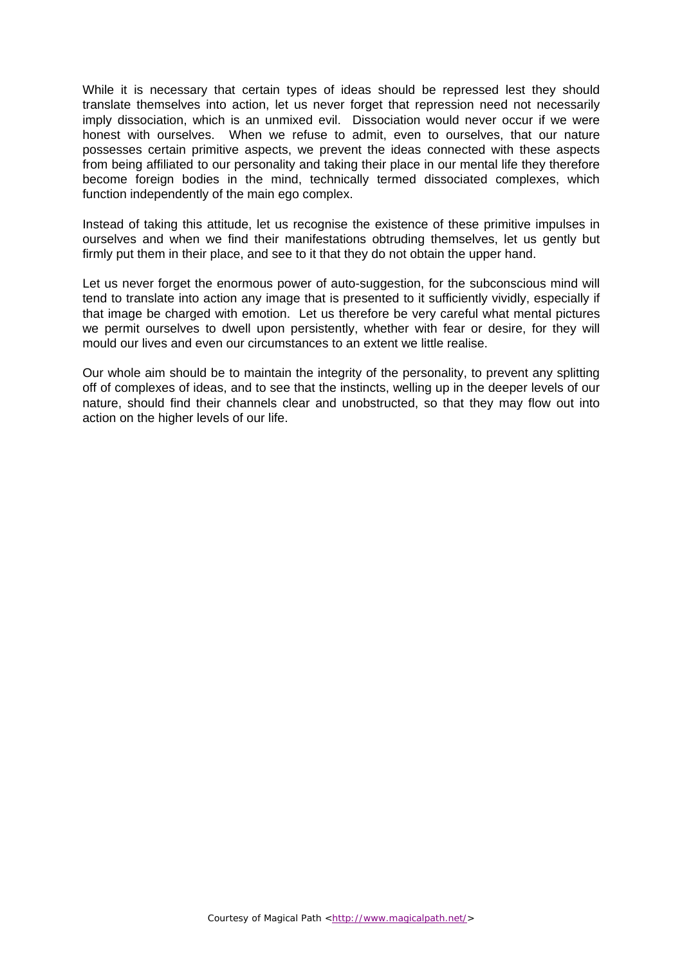While it is necessary that certain types of ideas should be repressed lest they should translate themselves into action, let us never forget that repression need not necessarily imply dissociation, which is an unmixed evil. Dissociation would never occur if we were honest with ourselves. When we refuse to admit, even to ourselves, that our nature possesses certain primitive aspects, we prevent the ideas connected with these aspects from being affiliated to our personality and taking their place in our mental life they therefore become foreign bodies in the mind, technically termed dissociated complexes, which function independently of the main ego complex.

Instead of taking this attitude, let us recognise the existence of these primitive impulses in ourselves and when we find their manifestations obtruding themselves, let us gently but firmly put them in their place, and see to it that they do not obtain the upper hand.

Let us never forget the enormous power of auto-suggestion, for the subconscious mind will tend to translate into action any image that is presented to it sufficiently vividly, especially if that image be charged with emotion. Let us therefore be very careful what mental pictures we permit ourselves to dwell upon persistently, whether with fear or desire, for they will mould our lives and even our circumstances to an extent we little realise.

Our whole aim should be to maintain the integrity of the personality, to prevent any splitting off of complexes of ideas, and to see that the instincts, welling up in the deeper levels of our nature, should find their channels clear and unobstructed, so that they may flow out into action on the higher levels of our life.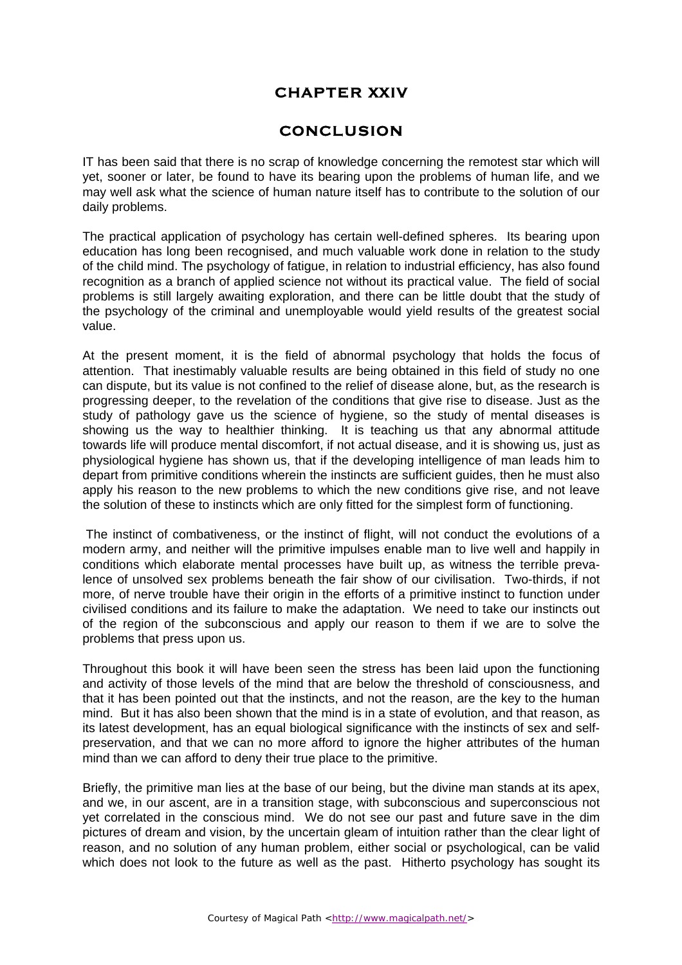#### **CHAPTER XXIV**

#### **CONCLUSION**

IT has been said that there is no scrap of knowledge concerning the remotest star which will yet, sooner or later, be found to have its bearing upon the problems of human life, and we may well ask what the science of human nature itself has to contribute to the solution of our daily problems.

The practical application of psychology has certain well-defined spheres. Its bearing upon education has long been recognised, and much valuable work done in relation to the study of the child mind. The psychology of fatigue, in relation to industrial efficiency, has also found recognition as a branch of applied science not without its practical value. The field of social problems is still largely awaiting exploration, and there can be little doubt that the study of the psychology of the criminal and unemployable would yield results of the greatest social value.

At the present moment, it is the field of abnormal psychology that holds the focus of attention. That inestimably valuable results are being obtained in this field of study no one can dispute, but its value is not confined to the relief of disease alone, but, as the research is progressing deeper, to the revelation of the conditions that give rise to disease. Just as the study of pathology gave us the science of hygiene, so the study of mental diseases is showing us the way to healthier thinking. It is teaching us that any abnormal attitude towards life will produce mental discomfort, if not actual disease, and it is showing us, just as physiological hygiene has shown us, that if the developing intelligence of man leads him to depart from primitive conditions wherein the instincts are sufficient guides, then he must also apply his reason to the new problems to which the new conditions give rise, and not leave the solution of these to instincts which are only fitted for the simplest form of functioning.

The instinct of combativeness, or the instinct of flight, will not conduct the evolutions of a modern army, and neither will the primitive impulses enable man to live well and happily in conditions which elaborate mental processes have built up, as witness the terrible prevalence of unsolved sex problems beneath the fair show of our civilisation. Two-thirds, if not more, of nerve trouble have their origin in the efforts of a primitive instinct to function under civilised conditions and its failure to make the adaptation. We need to take our instincts out of the region of the subconscious and apply our reason to them if we are to solve the problems that press upon us.

Throughout this book it will have been seen the stress has been laid upon the functioning and activity of those levels of the mind that are below the threshold of consciousness, and that it has been pointed out that the instincts, and not the reason, are the key to the human mind. But it has also been shown that the mind is in a state of evolution, and that reason, as its latest development, has an equal biological significance with the instincts of sex and selfpreservation, and that we can no more afford to ignore the higher attributes of the human mind than we can afford to deny their true place to the primitive.

Briefly, the primitive man lies at the base of our being, but the divine man stands at its apex, and we, in our ascent, are in a transition stage, with subconscious and superconscious not yet correlated in the conscious mind. We do not see our past and future save in the dim pictures of dream and vision, by the uncertain gleam of intuition rather than the clear light of reason, and no solution of any human problem, either social or psychological, can be valid which does not look to the future as well as the past. Hitherto psychology has sought its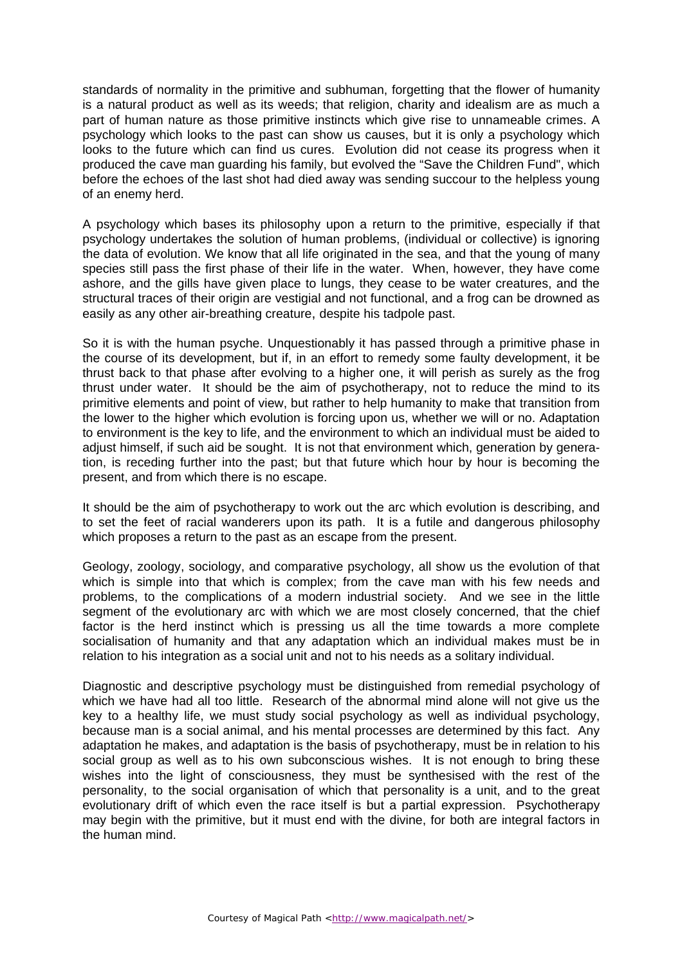standards of normality in the primitive and subhuman, forgetting that the flower of humanity is a natural product as well as its weeds; that religion, charity and idealism are as much a part of human nature as those primitive instincts which give rise to unnameable crimes. A psychology which looks to the past can show us causes, but it is only a psychology which looks to the future which can find us cures. Evolution did not cease its progress when it produced the cave man guarding his family, but evolved the "Save the Children Fund", which before the echoes of the last shot had died away was sending succour to the helpless young of an enemy herd.

A psychology which bases its philosophy upon a return to the primitive, especially if that psychology undertakes the solution of human problems, (individual or collective) is ignoring the data of evolution. We know that all life originated in the sea, and that the young of many species still pass the first phase of their life in the water. When, however, they have come ashore, and the gills have given place to lungs, they cease to be water creatures, and the structural traces of their origin are vestigial and not functional, and a frog can be drowned as easily as any other air-breathing creature, despite his tadpole past.

So it is with the human psyche. Unquestionably it has passed through a primitive phase in the course of its development, but if, in an effort to remedy some faulty development, it be thrust back to that phase after evolving to a higher one, it will perish as surely as the frog thrust under water. It should be the aim of psychotherapy, not to reduce the mind to its primitive elements and point of view, but rather to help humanity to make that transition from the lower to the higher which evolution is forcing upon us, whether we will or no. Adaptation to environment is the key to life, and the environment to which an individual must be aided to adjust himself, if such aid be sought. It is not that environment which, generation by generation, is receding further into the past; but that future which hour by hour is becoming the present, and from which there is no escape.

It should be the aim of psychotherapy to work out the arc which evolution is describing, and to set the feet of racial wanderers upon its path. It is a futile and dangerous philosophy which proposes a return to the past as an escape from the present.

Geology, zoology, sociology, and comparative psychology, all show us the evolution of that which is simple into that which is complex; from the cave man with his few needs and problems, to the complications of a modern industrial society. And we see in the little segment of the evolutionary arc with which we are most closely concerned, that the chief factor is the herd instinct which is pressing us all the time towards a more complete socialisation of humanity and that any adaptation which an individual makes must be in relation to his integration as a social unit and not to his needs as a solitary individual.

Diagnostic and descriptive psychology must be distinguished from remedial psychology of which we have had all too little. Research of the abnormal mind alone will not give us the key to a healthy life, we must study social psychology as well as individual psychology, because man is a social animal, and his mental processes are determined by this fact. Any adaptation he makes, and adaptation is the basis of psychotherapy, must be in relation to his social group as well as to his own subconscious wishes. It is not enough to bring these wishes into the light of consciousness, they must be synthesised with the rest of the personality, to the social organisation of which that personality is a unit, and to the great evolutionary drift of which even the race itself is but a partial expression. Psychotherapy may begin with the primitive, but it must end with the divine, for both are integral factors in the human mind.